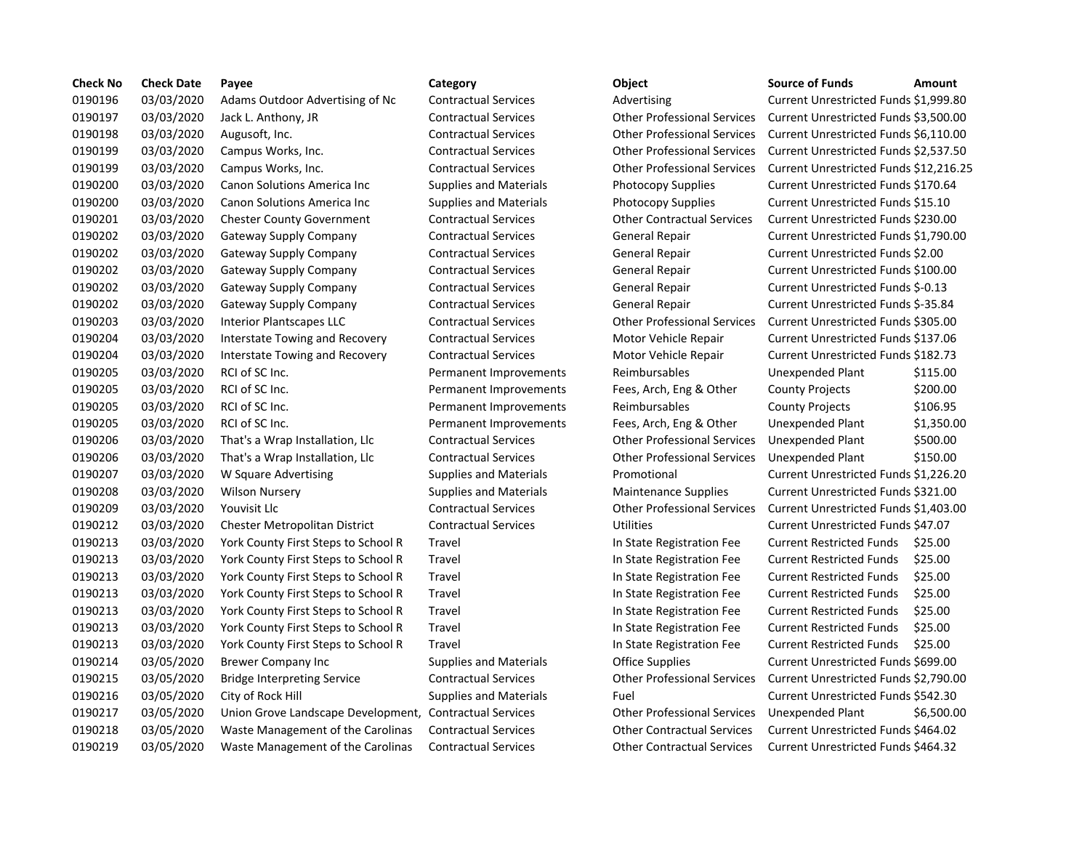| <b>Check No</b> | <b>Check Date</b> | Payee                                                   | Category                      | Object                             | <b>Source of Funds</b>               | Amount    |
|-----------------|-------------------|---------------------------------------------------------|-------------------------------|------------------------------------|--------------------------------------|-----------|
| 0190196         | 03/03/2020        | Adams Outdoor Advertising of Nc                         | <b>Contractual Services</b>   | Advertising                        | Current Unrestricted Funds \$1,999.8 |           |
| 0190197         | 03/03/2020        | Jack L. Anthony, JR                                     | <b>Contractual Services</b>   | <b>Other Professional Services</b> | Current Unrestricted Funds \$3,500.0 |           |
| 0190198         | 03/03/2020        | Augusoft, Inc.                                          | <b>Contractual Services</b>   | <b>Other Professional Services</b> | Current Unrestricted Funds \$6,110.0 |           |
| 0190199         | 03/03/2020        | Campus Works, Inc.                                      | <b>Contractual Services</b>   | <b>Other Professional Services</b> | Current Unrestricted Funds \$2,537.5 |           |
| 0190199         | 03/03/2020        | Campus Works, Inc.                                      | <b>Contractual Services</b>   | <b>Other Professional Services</b> | Current Unrestricted Funds \$12,216  |           |
| 0190200         | 03/03/2020        | Canon Solutions America Inc                             | <b>Supplies and Materials</b> | Photocopy Supplies                 | Current Unrestricted Funds \$170.64  |           |
| 0190200         | 03/03/2020        | Canon Solutions America Inc                             | <b>Supplies and Materials</b> | <b>Photocopy Supplies</b>          | Current Unrestricted Funds \$15.10   |           |
| 0190201         | 03/03/2020        | <b>Chester County Government</b>                        | <b>Contractual Services</b>   | <b>Other Contractual Services</b>  | Current Unrestricted Funds \$230.00  |           |
| 0190202         | 03/03/2020        | <b>Gateway Supply Company</b>                           | <b>Contractual Services</b>   | <b>General Repair</b>              | Current Unrestricted Funds \$1,790.0 |           |
| 0190202         | 03/03/2020        | Gateway Supply Company                                  | <b>Contractual Services</b>   | General Repair                     | Current Unrestricted Funds \$2.00    |           |
| 0190202         | 03/03/2020        | Gateway Supply Company                                  | <b>Contractual Services</b>   | General Repair                     | Current Unrestricted Funds \$100.00  |           |
| 0190202         | 03/03/2020        | Gateway Supply Company                                  | <b>Contractual Services</b>   | General Repair                     | Current Unrestricted Funds \$-0.13   |           |
| 0190202         | 03/03/2020        | Gateway Supply Company                                  | <b>Contractual Services</b>   | General Repair                     | Current Unrestricted Funds \$-35.84  |           |
| 0190203         | 03/03/2020        | <b>Interior Plantscapes LLC</b>                         | <b>Contractual Services</b>   | <b>Other Professional Services</b> | Current Unrestricted Funds \$305.00  |           |
| 0190204         | 03/03/2020        | Interstate Towing and Recovery                          | <b>Contractual Services</b>   | Motor Vehicle Repair               | Current Unrestricted Funds \$137.06  |           |
| 0190204         | 03/03/2020        | Interstate Towing and Recovery                          | <b>Contractual Services</b>   | Motor Vehicle Repair               | Current Unrestricted Funds \$182.73  |           |
| 0190205         | 03/03/2020        | RCI of SC Inc.                                          | Permanent Improvements        | Reimbursables                      | Unexpended Plant                     | \$115.00  |
| 0190205         | 03/03/2020        | RCI of SC Inc.                                          | Permanent Improvements        | Fees, Arch, Eng & Other            | <b>County Projects</b>               | \$200.00  |
| 0190205         | 03/03/2020        | RCI of SC Inc.                                          | Permanent Improvements        | Reimbursables                      | <b>County Projects</b>               | \$106.95  |
| 0190205         | 03/03/2020        | RCI of SC Inc.                                          | Permanent Improvements        | Fees, Arch, Eng & Other            | Unexpended Plant                     | \$1,350.0 |
| 0190206         | 03/03/2020        | That's a Wrap Installation, Llc                         | <b>Contractual Services</b>   | <b>Other Professional Services</b> | Unexpended Plant                     | \$500.00  |
| 0190206         | 03/03/2020        | That's a Wrap Installation, Llc                         | <b>Contractual Services</b>   | <b>Other Professional Services</b> | Unexpended Plant                     | \$150.00  |
| 0190207         | 03/03/2020        | W Square Advertising                                    | <b>Supplies and Materials</b> | Promotional                        | Current Unrestricted Funds \$1,226.2 |           |
| 0190208         | 03/03/2020        | <b>Wilson Nursery</b>                                   | <b>Supplies and Materials</b> | <b>Maintenance Supplies</b>        | Current Unrestricted Funds \$321.00  |           |
| 0190209         | 03/03/2020        | Youvisit Llc                                            | <b>Contractual Services</b>   | <b>Other Professional Services</b> | Current Unrestricted Funds \$1,403.  |           |
| 0190212         | 03/03/2020        | Chester Metropolitan District                           | <b>Contractual Services</b>   | <b>Utilities</b>                   | Current Unrestricted Funds \$47.07   |           |
| 0190213         | 03/03/2020        | York County First Steps to School R                     | Travel                        | In State Registration Fee          | <b>Current Restricted Funds</b>      | \$25.00   |
| 0190213         | 03/03/2020        | York County First Steps to School R                     | Travel                        | In State Registration Fee          | <b>Current Restricted Funds</b>      | \$25.00   |
| 0190213         | 03/03/2020        | York County First Steps to School R                     | Travel                        | In State Registration Fee          | <b>Current Restricted Funds</b>      | \$25.00   |
| 0190213         | 03/03/2020        | York County First Steps to School R                     | Travel                        | In State Registration Fee          | <b>Current Restricted Funds</b>      | \$25.00   |
| 0190213         | 03/03/2020        | York County First Steps to School R                     | Travel                        | In State Registration Fee          | <b>Current Restricted Funds</b>      | \$25.00   |
| 0190213         | 03/03/2020        | York County First Steps to School R                     | Travel                        | In State Registration Fee          | <b>Current Restricted Funds</b>      | \$25.00   |
| 0190213         | 03/03/2020        | York County First Steps to School R                     | Travel                        | In State Registration Fee          | <b>Current Restricted Funds</b>      | \$25.00   |
| 0190214         | 03/05/2020        | Brewer Company Inc                                      | <b>Supplies and Materials</b> | <b>Office Supplies</b>             | Current Unrestricted Funds \$699.00  |           |
| 0190215         | 03/05/2020        | <b>Bridge Interpreting Service</b>                      | <b>Contractual Services</b>   | <b>Other Professional Services</b> | Current Unrestricted Funds \$2,790.  |           |
| 0190216         | 03/05/2020        | City of Rock Hill                                       | <b>Supplies and Materials</b> | Fuel                               | Current Unrestricted Funds \$542.30  |           |
| 0190217         | 03/05/2020        | Union Grove Landscape Development, Contractual Services |                               | <b>Other Professional Services</b> | Unexpended Plant                     | \$6,500.0 |
| 0190218         | 03/05/2020        | Waste Management of the Carolinas                       | <b>Contractual Services</b>   | <b>Other Contractual Services</b>  | Current Unrestricted Funds \$464.02  |           |
| 0190219         | 03/05/2020        | Waste Management of the Carolinas                       | <b>Contractual Services</b>   | <b>Other Contractual Services</b>  | Current Unrestricted Funds \$464.32  |           |

# tractual Services **Current Advertising of New Advertising Current Unrestricted Funds \$1,999.80** tractual Services **1. Antiboot Contract Contracts Contracts** Current Unrestricted Funds \$3,500.00 0190198 03/03/2020 Augusoft, Inc. Contractual Services Other Professional Services Current Unrestricted Funds \$6,110.00 0190199 03/03/2020 Campus Works, Inc. Contractual Services Other Professional Services Current Unrestricted Funds \$2,537.50 0190199 03/03/2020 Campus Works, Inc. Contractual Services Other Professional Services Current Unrestricted Funds \$12,216.25 plies and Materials **Canon Supplies** Current Unrestricted Funds \$170.64 plies and Materials **Canon Stupplies** Current Unrestricted Funds \$15.10 tractual Services **Comment Contractual Services** Current Unrestricted Funds \$230.00 0190202 03/03/2020 Gateway Supply Company Contractual Services General Repair Current Unrestricted Funds \$1,790.00 0190202 03/03/2020 Gateway Supply Company Contractual Services General Repair Current Unrestricted Funds \$2.00 0190202 03/03/2020 Gateway Supply Company Contractual Services General Repair Current Unrestricted Funds \$100.00 0190202 03/03/2020 Gateway Supply Company Contractual Services General Repair Current Unrestricted Funds \$-0.13 0190202 03/03/2020 Gateway Supply Company Contractual Services General Repair Current Unrestricted Funds \$-35.84 0190203 03/03/2020 Interior Plantscapes LLC Contractual Services Other Professional Services Current Unrestricted Funds \$305.00 0190204 03/03/2020 Interstate Towing and Recovery Contractual Services Motor Vehicle Repair Current Unrestricted Funds \$137.06 0190204 03/03/2020 Interstate Towing and Recovery Contractual Services Motor Vehicle Repair Current Unrestricted Funds \$182.73 manent Improvements Reimbursables Unexpended Plant \$115.00 nanent Improvements Fees, Arch, Eng & Other County Projects \$200.00 nanent Improvements Reimbursables County Projects \$106.95 nanent Improvements Fees, Arch, Eng & Other Unexpended Plant \$1,350.00 tractual Services **Thatis A Contract Contracts Contracts** Contractual Services Other Professional Services Unexpended Plant \$500.00 0190206 03/03/2020 That's a Wrap Installation, Llc Contractual Services Other Professional Services Unexpended Plant \$150.00 plies and Materials **Music Current Unrestricted Funds \$1,226.20** Current Unrestricted Funds \$1,226.20 plies and Materials **Maintenance Supplies** Current Unrestricted Funds \$321.00 0190209 03/03/2020 Youvisit Llc Contractual Services Other Professional Services Current Unrestricted Funds \$1,403.00 0190212 03/03/2020 Chester Metropolitan District Contractual Services Utilities Current Unrestricted Funds \$47.07 ol 13.0303 103/03/2020 Vorm Englistration Fee Current Restricted Funds \$25.00

0190219 03/05/2020 Waste Management of the Carolinas Contractual Services Other Contractual Services Current Unrestricted Funds \$464.32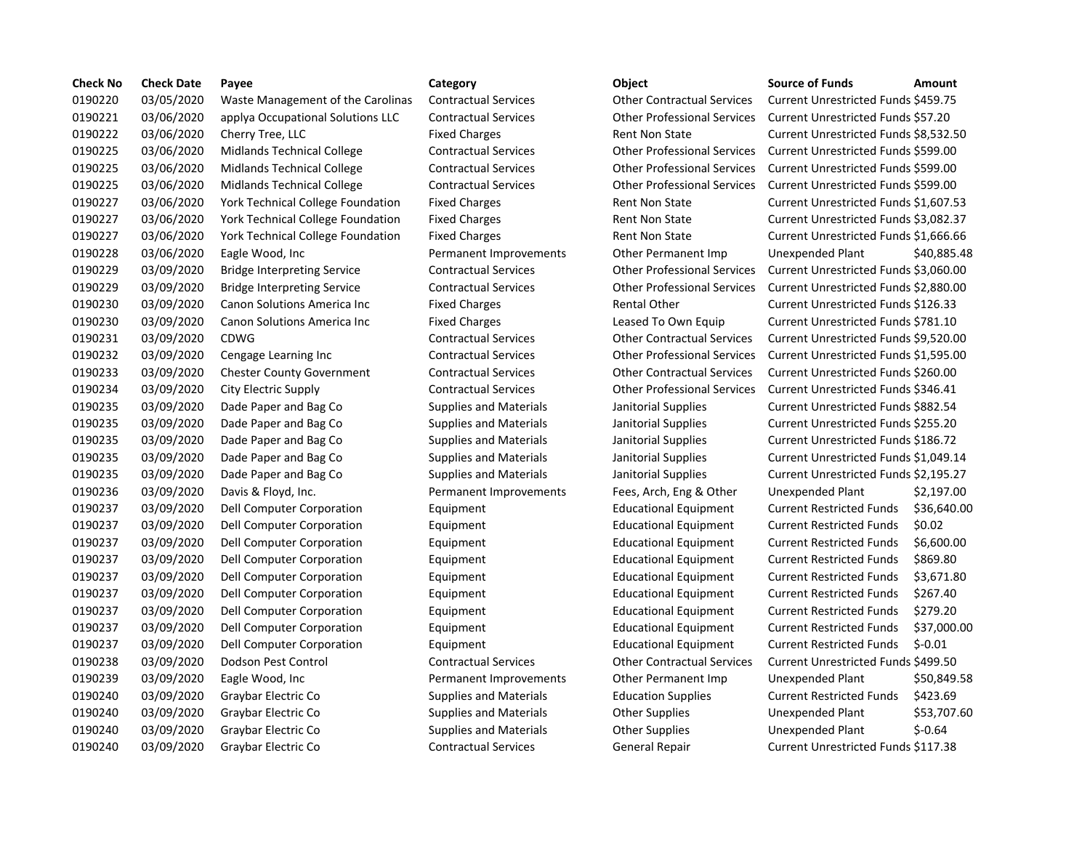| <b>Check No</b> | <b>Check Date</b> | Payee                              | Category                      | Object                             | <b>Source of Funds</b>               | Amount    |
|-----------------|-------------------|------------------------------------|-------------------------------|------------------------------------|--------------------------------------|-----------|
| 0190220         | 03/05/2020        | Waste Management of the Carolinas  | <b>Contractual Services</b>   | <b>Other Contractual Services</b>  | Current Unrestricted Funds \$459.75  |           |
| 0190221         | 03/06/2020        | applya Occupational Solutions LLC  | <b>Contractual Services</b>   | <b>Other Professional Services</b> | Current Unrestricted Funds \$57.20   |           |
| 0190222         | 03/06/2020        | Cherry Tree, LLC                   | <b>Fixed Charges</b>          | <b>Rent Non State</b>              | Current Unrestricted Funds \$8,532.5 |           |
| 0190225         | 03/06/2020        | Midlands Technical College         | <b>Contractual Services</b>   | <b>Other Professional Services</b> | Current Unrestricted Funds \$599.00  |           |
| 0190225         | 03/06/2020        | <b>Midlands Technical College</b>  | <b>Contractual Services</b>   | <b>Other Professional Services</b> | Current Unrestricted Funds \$599.00  |           |
| 0190225         | 03/06/2020        | <b>Midlands Technical College</b>  | <b>Contractual Services</b>   | <b>Other Professional Services</b> | Current Unrestricted Funds \$599.00  |           |
| 0190227         | 03/06/2020        | York Technical College Foundation  | <b>Fixed Charges</b>          | <b>Rent Non State</b>              | Current Unrestricted Funds \$1,607.5 |           |
| 0190227         | 03/06/2020        | York Technical College Foundation  | <b>Fixed Charges</b>          | Rent Non State                     | Current Unrestricted Funds \$3,082.3 |           |
| 0190227         | 03/06/2020        | York Technical College Foundation  | <b>Fixed Charges</b>          | <b>Rent Non State</b>              | Current Unrestricted Funds \$1,666.6 |           |
| 0190228         | 03/06/2020        | Eagle Wood, Inc                    | Permanent Improvements        | Other Permanent Imp                | Unexpended Plant                     | \$40,885  |
| 0190229         | 03/09/2020        | <b>Bridge Interpreting Service</b> | <b>Contractual Services</b>   | <b>Other Professional Services</b> | Current Unrestricted Funds \$3,060.0 |           |
| 0190229         | 03/09/2020        | <b>Bridge Interpreting Service</b> | <b>Contractual Services</b>   | <b>Other Professional Services</b> | Current Unrestricted Funds \$2,880.0 |           |
| 0190230         | 03/09/2020        | Canon Solutions America Inc        | <b>Fixed Charges</b>          | <b>Rental Other</b>                | Current Unrestricted Funds \$126.33  |           |
| 0190230         | 03/09/2020        | Canon Solutions America Inc        | <b>Fixed Charges</b>          | Leased To Own Equip                | Current Unrestricted Funds \$781.10  |           |
| 0190231         | 03/09/2020        | <b>CDWG</b>                        | <b>Contractual Services</b>   | <b>Other Contractual Services</b>  | Current Unrestricted Funds \$9,520.0 |           |
| 0190232         | 03/09/2020        | Cengage Learning Inc               | <b>Contractual Services</b>   | <b>Other Professional Services</b> | Current Unrestricted Funds \$1,595.  |           |
| 0190233         | 03/09/2020        | <b>Chester County Government</b>   | <b>Contractual Services</b>   | <b>Other Contractual Services</b>  | Current Unrestricted Funds \$260.00  |           |
| 0190234         | 03/09/2020        | City Electric Supply               | <b>Contractual Services</b>   | <b>Other Professional Services</b> | Current Unrestricted Funds \$346.41  |           |
| 0190235         | 03/09/2020        | Dade Paper and Bag Co              | <b>Supplies and Materials</b> | Janitorial Supplies                | Current Unrestricted Funds \$882.54  |           |
| 0190235         | 03/09/2020        | Dade Paper and Bag Co              | <b>Supplies and Materials</b> | Janitorial Supplies                | Current Unrestricted Funds \$255.20  |           |
| 0190235         | 03/09/2020        | Dade Paper and Bag Co              | <b>Supplies and Materials</b> | Janitorial Supplies                | Current Unrestricted Funds \$186.72  |           |
| 0190235         | 03/09/2020        | Dade Paper and Bag Co              | <b>Supplies and Materials</b> | Janitorial Supplies                | Current Unrestricted Funds \$1,049.1 |           |
| 0190235         | 03/09/2020        | Dade Paper and Bag Co              | <b>Supplies and Materials</b> | Janitorial Supplies                | Current Unrestricted Funds \$2,195.2 |           |
| 0190236         | 03/09/2020        | Davis & Floyd, Inc.                | Permanent Improvements        | Fees, Arch, Eng & Other            | Unexpended Plant                     | \$2,197   |
| 0190237         | 03/09/2020        | Dell Computer Corporation          | Equipment                     | <b>Educational Equipment</b>       | <b>Current Restricted Funds</b>      | \$36,640  |
| 0190237         | 03/09/2020        | Dell Computer Corporation          | Equipment                     | <b>Educational Equipment</b>       | <b>Current Restricted Funds</b>      | \$0.02    |
| 0190237         | 03/09/2020        | Dell Computer Corporation          | Equipment                     | <b>Educational Equipment</b>       | <b>Current Restricted Funds</b>      | \$6,600.0 |
| 0190237         | 03/09/2020        | Dell Computer Corporation          | Equipment                     | <b>Educational Equipment</b>       | <b>Current Restricted Funds</b>      | \$869.80  |
| 0190237         | 03/09/2020        | Dell Computer Corporation          | Equipment                     | <b>Educational Equipment</b>       | <b>Current Restricted Funds</b>      | \$3,671.8 |
| 0190237         | 03/09/2020        | <b>Dell Computer Corporation</b>   | Equipment                     | <b>Educational Equipment</b>       | <b>Current Restricted Funds</b>      | \$267.40  |
| 0190237         | 03/09/2020        | Dell Computer Corporation          | Equipment                     | <b>Educational Equipment</b>       | <b>Current Restricted Funds</b>      | \$279.20  |
| 0190237         | 03/09/2020        | Dell Computer Corporation          | Equipment                     | <b>Educational Equipment</b>       | <b>Current Restricted Funds</b>      | \$37,000  |
| 0190237         | 03/09/2020        | Dell Computer Corporation          | Equipment                     | <b>Educational Equipment</b>       | <b>Current Restricted Funds</b>      | $$-0.01$  |
| 0190238         | 03/09/2020        | Dodson Pest Control                | <b>Contractual Services</b>   | <b>Other Contractual Services</b>  | Current Unrestricted Funds \$499.50  |           |
| 0190239         | 03/09/2020        | Eagle Wood, Inc                    | Permanent Improvements        | Other Permanent Imp                | Unexpended Plant                     | \$50,849  |
| 0190240         | 03/09/2020        | Graybar Electric Co                | <b>Supplies and Materials</b> | <b>Education Supplies</b>          | <b>Current Restricted Funds</b>      | \$423.69  |
| 0190240         | 03/09/2020        | Graybar Electric Co                | <b>Supplies and Materials</b> | <b>Other Supplies</b>              | Unexpended Plant                     | \$53,707  |
| 0190240         | 03/09/2020        | Graybar Electric Co                | <b>Supplies and Materials</b> | <b>Other Supplies</b>              | Unexpended Plant                     | $$ -0.64$ |
| 0190240         | 03/09/2020        | Graybar Electric Co                | <b>Contractual Services</b>   | <b>General Repair</b>              | Current Unrestricted Funds \$117.38  |           |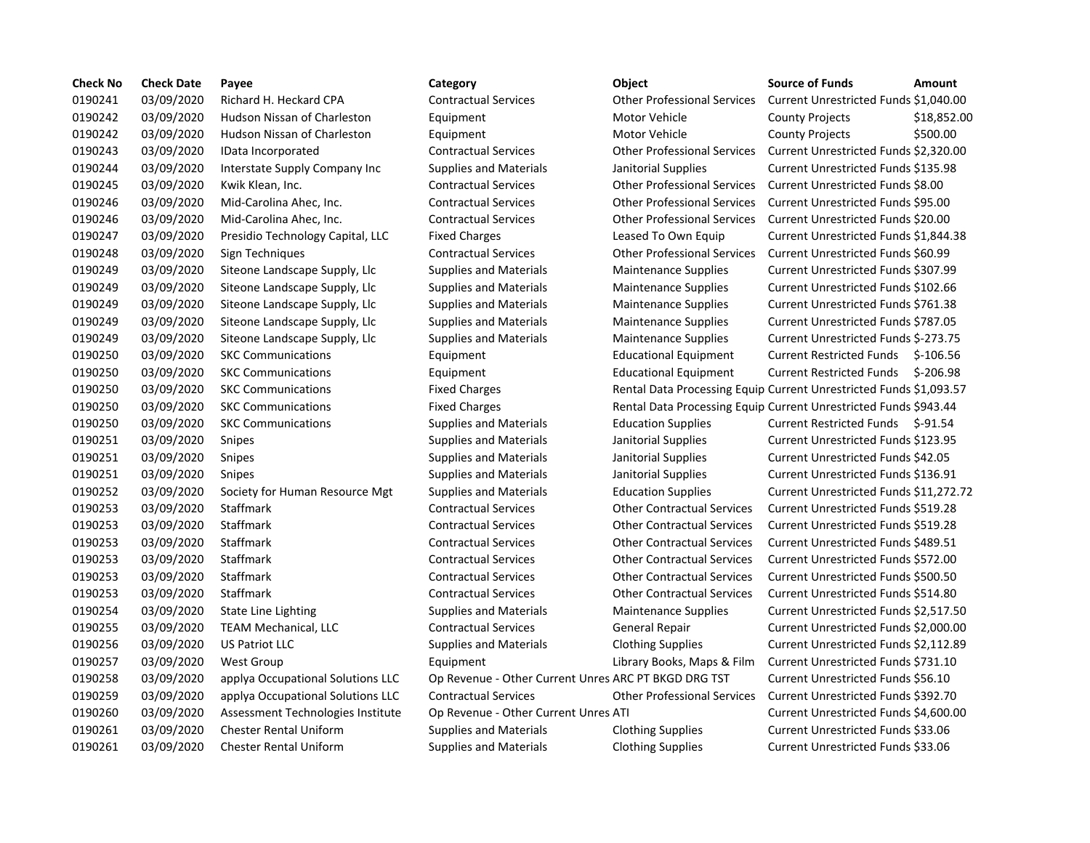| <b>Check No</b> | <b>Check Date</b> | Payee                             | Category                                             | Object                                                             | <b>Source of Funds</b>                   | Amount      |
|-----------------|-------------------|-----------------------------------|------------------------------------------------------|--------------------------------------------------------------------|------------------------------------------|-------------|
| 0190241         | 03/09/2020        | Richard H. Heckard CPA            | <b>Contractual Services</b>                          | <b>Other Professional Services</b>                                 | Current Unrestricted Funds \$1,040.00    |             |
| 0190242         | 03/09/2020        | Hudson Nissan of Charleston       | Equipment                                            | Motor Vehicle                                                      | <b>County Projects</b>                   | \$18,852.00 |
| 0190242         | 03/09/2020        | Hudson Nissan of Charleston       | Equipment                                            | <b>Motor Vehicle</b>                                               | <b>County Projects</b>                   | \$500.00    |
| 0190243         | 03/09/2020        | IData Incorporated                | <b>Contractual Services</b>                          | <b>Other Professional Services</b>                                 | Current Unrestricted Funds \$2,320.00    |             |
| 0190244         | 03/09/2020        | Interstate Supply Company Inc     | <b>Supplies and Materials</b>                        | Janitorial Supplies                                                | Current Unrestricted Funds \$135.98      |             |
| 0190245         | 03/09/2020        | Kwik Klean, Inc.                  | <b>Contractual Services</b>                          | <b>Other Professional Services</b>                                 | <b>Current Unrestricted Funds \$8.00</b> |             |
| 0190246         | 03/09/2020        | Mid-Carolina Ahec, Inc.           | <b>Contractual Services</b>                          | <b>Other Professional Services</b>                                 | Current Unrestricted Funds \$95.00       |             |
| 0190246         | 03/09/2020        | Mid-Carolina Ahec, Inc.           | <b>Contractual Services</b>                          | <b>Other Professional Services</b>                                 | Current Unrestricted Funds \$20.00       |             |
| 0190247         | 03/09/2020        | Presidio Technology Capital, LLC  | <b>Fixed Charges</b>                                 | Leased To Own Equip                                                | Current Unrestricted Funds \$1,844.38    |             |
| 0190248         | 03/09/2020        | Sign Techniques                   | <b>Contractual Services</b>                          | <b>Other Professional Services</b>                                 | Current Unrestricted Funds \$60.99       |             |
| 0190249         | 03/09/2020        | Siteone Landscape Supply, Llc     | <b>Supplies and Materials</b>                        | <b>Maintenance Supplies</b>                                        | Current Unrestricted Funds \$307.99      |             |
| 0190249         | 03/09/2020        | Siteone Landscape Supply, Llc     | <b>Supplies and Materials</b>                        | Maintenance Supplies                                               | Current Unrestricted Funds \$102.66      |             |
| 0190249         | 03/09/2020        | Siteone Landscape Supply, Llc     | <b>Supplies and Materials</b>                        | <b>Maintenance Supplies</b>                                        | Current Unrestricted Funds \$761.38      |             |
| 0190249         | 03/09/2020        | Siteone Landscape Supply, Llc     | <b>Supplies and Materials</b>                        | <b>Maintenance Supplies</b>                                        | Current Unrestricted Funds \$787.05      |             |
| 0190249         | 03/09/2020        | Siteone Landscape Supply, Llc     | <b>Supplies and Materials</b>                        | <b>Maintenance Supplies</b>                                        | Current Unrestricted Funds \$-273.75     |             |
| 0190250         | 03/09/2020        | <b>SKC Communications</b>         | Equipment                                            | <b>Educational Equipment</b>                                       | Current Restricted Funds \$-106.56       |             |
| 0190250         | 03/09/2020        | <b>SKC Communications</b>         | Equipment                                            | <b>Educational Equipment</b>                                       | <b>Current Restricted Funds</b>          | \$-206.98   |
| 0190250         | 03/09/2020        | <b>SKC Communications</b>         | <b>Fixed Charges</b>                                 | Rental Data Processing Equip Current Unrestricted Funds \$1,093.57 |                                          |             |
| 0190250         | 03/09/2020        | <b>SKC Communications</b>         | <b>Fixed Charges</b>                                 | Rental Data Processing Equip Current Unrestricted Funds \$943.44   |                                          |             |
| 0190250         | 03/09/2020        | <b>SKC Communications</b>         | <b>Supplies and Materials</b>                        | <b>Education Supplies</b>                                          | Current Restricted Funds \$-91.54        |             |
| 0190251         | 03/09/2020        | <b>Snipes</b>                     | <b>Supplies and Materials</b>                        | Janitorial Supplies                                                | Current Unrestricted Funds \$123.95      |             |
| 0190251         | 03/09/2020        | <b>Snipes</b>                     | <b>Supplies and Materials</b>                        | Janitorial Supplies                                                | Current Unrestricted Funds \$42.05       |             |
| 0190251         | 03/09/2020        | <b>Snipes</b>                     | <b>Supplies and Materials</b>                        | Janitorial Supplies                                                | Current Unrestricted Funds \$136.91      |             |
| 0190252         | 03/09/2020        | Society for Human Resource Mgt    | <b>Supplies and Materials</b>                        | <b>Education Supplies</b>                                          | Current Unrestricted Funds \$11,272.72   |             |
| 0190253         | 03/09/2020        | Staffmark                         | <b>Contractual Services</b>                          | <b>Other Contractual Services</b>                                  | Current Unrestricted Funds \$519.28      |             |
| 0190253         | 03/09/2020        | Staffmark                         | <b>Contractual Services</b>                          | <b>Other Contractual Services</b>                                  | Current Unrestricted Funds \$519.28      |             |
| 0190253         | 03/09/2020        | Staffmark                         | <b>Contractual Services</b>                          | <b>Other Contractual Services</b>                                  | Current Unrestricted Funds \$489.51      |             |
| 0190253         | 03/09/2020        | Staffmark                         | <b>Contractual Services</b>                          | <b>Other Contractual Services</b>                                  | Current Unrestricted Funds \$572.00      |             |
| 0190253         | 03/09/2020        | Staffmark                         | <b>Contractual Services</b>                          | <b>Other Contractual Services</b>                                  | Current Unrestricted Funds \$500.50      |             |
| 0190253         | 03/09/2020        | Staffmark                         | <b>Contractual Services</b>                          | <b>Other Contractual Services</b>                                  | Current Unrestricted Funds \$514.80      |             |
| 0190254         | 03/09/2020        | State Line Lighting               | <b>Supplies and Materials</b>                        | <b>Maintenance Supplies</b>                                        | Current Unrestricted Funds \$2,517.50    |             |
| 0190255         | 03/09/2020        | <b>TEAM Mechanical, LLC</b>       | <b>Contractual Services</b>                          | General Repair                                                     | Current Unrestricted Funds \$2,000.00    |             |
| 0190256         | 03/09/2020        | <b>US Patriot LLC</b>             | <b>Supplies and Materials</b>                        | <b>Clothing Supplies</b>                                           | Current Unrestricted Funds \$2,112.89    |             |
| 0190257         | 03/09/2020        | <b>West Group</b>                 | Equipment                                            | Library Books, Maps & Film                                         | Current Unrestricted Funds \$731.10      |             |
| 0190258         | 03/09/2020        | applya Occupational Solutions LLC | Op Revenue - Other Current Unres ARC PT BKGD DRG TST |                                                                    | Current Unrestricted Funds \$56.10       |             |
| 0190259         | 03/09/2020        | applya Occupational Solutions LLC | <b>Contractual Services</b>                          | <b>Other Professional Services</b>                                 | Current Unrestricted Funds \$392.70      |             |
| 0190260         | 03/09/2020        | Assessment Technologies Institute | Op Revenue - Other Current Unres ATI                 |                                                                    | Current Unrestricted Funds \$4,600.00    |             |
| 0190261         | 03/09/2020        | <b>Chester Rental Uniform</b>     | <b>Supplies and Materials</b>                        | <b>Clothing Supplies</b>                                           | Current Unrestricted Funds \$33.06       |             |
| 0190261         | 03/09/2020        | <b>Chester Rental Uniform</b>     | <b>Supplies and Materials</b>                        | <b>Clothing Supplies</b>                                           | Current Unrestricted Funds \$33.06       |             |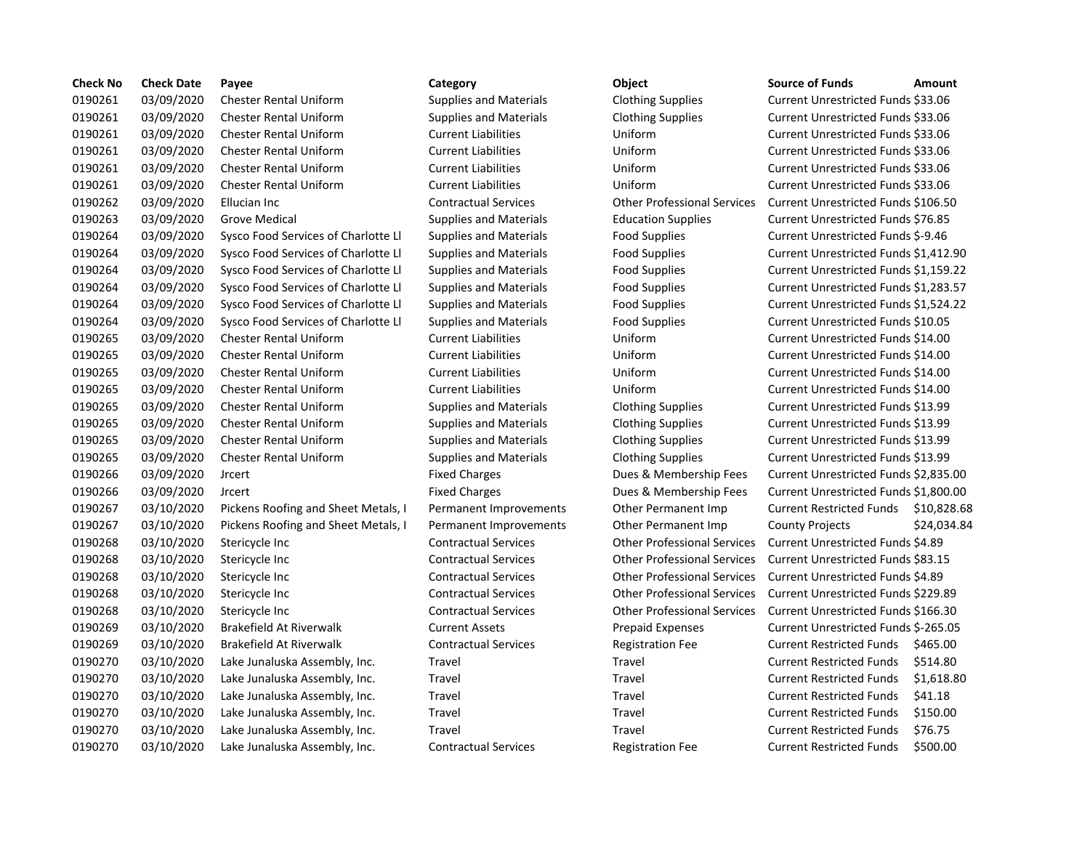| <b>Check No</b> | <b>Check Date</b> | Payee                               | Category                      | Object                             | <b>Source of Funds</b>               | Amount    |
|-----------------|-------------------|-------------------------------------|-------------------------------|------------------------------------|--------------------------------------|-----------|
| 0190261         | 03/09/2020        | <b>Chester Rental Uniform</b>       | <b>Supplies and Materials</b> | <b>Clothing Supplies</b>           | Current Unrestricted Funds \$33.06   |           |
| 0190261         | 03/09/2020        | <b>Chester Rental Uniform</b>       | <b>Supplies and Materials</b> | <b>Clothing Supplies</b>           | Current Unrestricted Funds \$33.06   |           |
| 0190261         | 03/09/2020        | <b>Chester Rental Uniform</b>       | <b>Current Liabilities</b>    | Uniform                            | Current Unrestricted Funds \$33.06   |           |
| 0190261         | 03/09/2020        | <b>Chester Rental Uniform</b>       | <b>Current Liabilities</b>    | Uniform                            | Current Unrestricted Funds \$33.06   |           |
| 0190261         | 03/09/2020        | <b>Chester Rental Uniform</b>       | <b>Current Liabilities</b>    | Uniform                            | Current Unrestricted Funds \$33.06   |           |
| 0190261         | 03/09/2020        | <b>Chester Rental Uniform</b>       | <b>Current Liabilities</b>    | Uniform                            | Current Unrestricted Funds \$33.06   |           |
| 0190262         | 03/09/2020        | Ellucian Inc                        | <b>Contractual Services</b>   | <b>Other Professional Services</b> | Current Unrestricted Funds \$106.50  |           |
| 0190263         | 03/09/2020        | <b>Grove Medical</b>                | <b>Supplies and Materials</b> | <b>Education Supplies</b>          | Current Unrestricted Funds \$76.85   |           |
| 0190264         | 03/09/2020        | Sysco Food Services of Charlotte Ll | <b>Supplies and Materials</b> | <b>Food Supplies</b>               | Current Unrestricted Funds \$-9.46   |           |
| 0190264         | 03/09/2020        | Sysco Food Services of Charlotte Ll | <b>Supplies and Materials</b> | <b>Food Supplies</b>               | Current Unrestricted Funds \$1,412.9 |           |
| 0190264         | 03/09/2020        | Sysco Food Services of Charlotte Ll | <b>Supplies and Materials</b> | <b>Food Supplies</b>               | Current Unrestricted Funds \$1,159.2 |           |
| 0190264         | 03/09/2020        | Sysco Food Services of Charlotte Ll | <b>Supplies and Materials</b> | <b>Food Supplies</b>               | Current Unrestricted Funds \$1,283.5 |           |
| 0190264         | 03/09/2020        | Sysco Food Services of Charlotte Ll | <b>Supplies and Materials</b> | <b>Food Supplies</b>               | Current Unrestricted Funds \$1,524.2 |           |
| 0190264         | 03/09/2020        | Sysco Food Services of Charlotte Ll | <b>Supplies and Materials</b> | <b>Food Supplies</b>               | Current Unrestricted Funds \$10.05   |           |
| 0190265         | 03/09/2020        | <b>Chester Rental Uniform</b>       | <b>Current Liabilities</b>    | Uniform                            | Current Unrestricted Funds \$14.00   |           |
| 0190265         | 03/09/2020        | <b>Chester Rental Uniform</b>       | <b>Current Liabilities</b>    | Uniform                            | Current Unrestricted Funds \$14.00   |           |
| 0190265         | 03/09/2020        | <b>Chester Rental Uniform</b>       | <b>Current Liabilities</b>    | Uniform                            | Current Unrestricted Funds \$14.00   |           |
| 0190265         | 03/09/2020        | <b>Chester Rental Uniform</b>       | <b>Current Liabilities</b>    | Uniform                            | Current Unrestricted Funds \$14.00   |           |
| 0190265         | 03/09/2020        | <b>Chester Rental Uniform</b>       | <b>Supplies and Materials</b> | <b>Clothing Supplies</b>           | Current Unrestricted Funds \$13.99   |           |
| 0190265         | 03/09/2020        | <b>Chester Rental Uniform</b>       | <b>Supplies and Materials</b> | <b>Clothing Supplies</b>           | Current Unrestricted Funds \$13.99   |           |
| 0190265         | 03/09/2020        | <b>Chester Rental Uniform</b>       | <b>Supplies and Materials</b> | <b>Clothing Supplies</b>           | Current Unrestricted Funds \$13.99   |           |
| 0190265         | 03/09/2020        | <b>Chester Rental Uniform</b>       | <b>Supplies and Materials</b> | <b>Clothing Supplies</b>           | Current Unrestricted Funds \$13.99   |           |
| 0190266         | 03/09/2020        | <b>Jrcert</b>                       | <b>Fixed Charges</b>          | Dues & Membership Fees             | Current Unrestricted Funds \$2,835.0 |           |
| 0190266         | 03/09/2020        | <b>Jrcert</b>                       | <b>Fixed Charges</b>          | Dues & Membership Fees             | Current Unrestricted Funds \$1,800.  |           |
| 0190267         | 03/10/2020        | Pickens Roofing and Sheet Metals, I | Permanent Improvements        | Other Permanent Imp                | <b>Current Restricted Funds</b>      | \$10,828  |
| 0190267         | 03/10/2020        | Pickens Roofing and Sheet Metals, I | Permanent Improvements        | Other Permanent Imp                | <b>County Projects</b>               | \$24,034  |
| 0190268         | 03/10/2020        | Stericycle Inc                      | <b>Contractual Services</b>   | <b>Other Professional Services</b> | Current Unrestricted Funds \$4.89    |           |
| 0190268         | 03/10/2020        | Stericycle Inc                      | <b>Contractual Services</b>   | <b>Other Professional Services</b> | Current Unrestricted Funds \$83.15   |           |
| 0190268         | 03/10/2020        | Stericycle Inc                      | <b>Contractual Services</b>   | <b>Other Professional Services</b> | Current Unrestricted Funds \$4.89    |           |
| 0190268         | 03/10/2020        | Stericycle Inc                      | <b>Contractual Services</b>   | <b>Other Professional Services</b> | Current Unrestricted Funds \$229.89  |           |
| 0190268         | 03/10/2020        | Stericycle Inc                      | <b>Contractual Services</b>   | <b>Other Professional Services</b> | Current Unrestricted Funds \$166.30  |           |
| 0190269         | 03/10/2020        | Brakefield At Riverwalk             | <b>Current Assets</b>         | <b>Prepaid Expenses</b>            | Current Unrestricted Funds \$-265.09 |           |
| 0190269         | 03/10/2020        | Brakefield At Riverwalk             | <b>Contractual Services</b>   | <b>Registration Fee</b>            | <b>Current Restricted Funds</b>      | \$465.00  |
| 0190270         | 03/10/2020        | Lake Junaluska Assembly, Inc.       | Travel                        | Travel                             | <b>Current Restricted Funds</b>      | \$514.80  |
| 0190270         | 03/10/2020        | Lake Junaluska Assembly, Inc.       | Travel                        | Travel                             | <b>Current Restricted Funds</b>      | \$1,618.8 |
| 0190270         | 03/10/2020        | Lake Junaluska Assembly, Inc.       | Travel                        | Travel                             | <b>Current Restricted Funds</b>      | \$41.18   |
| 0190270         | 03/10/2020        | Lake Junaluska Assembly, Inc.       | Travel                        | Travel                             | <b>Current Restricted Funds</b>      | \$150.00  |
| 0190270         | 03/10/2020        | Lake Junaluska Assembly, Inc.       | Travel                        | Travel                             | <b>Current Restricted Funds</b>      | \$76.75   |
| 0190270         | 03/10/2020        | Lake Junaluska Assembly, Inc.       | <b>Contractual Services</b>   | <b>Registration Fee</b>            | <b>Current Restricted Funds</b>      | \$500.00  |
|                 |                   |                                     |                               |                                    |                                      |           |

# 03/10/2020 Lake Junaluska Assembly, Inc. Contractual Services Registration Fee Current Restricted Funds \$500.00

| Object                             |
|------------------------------------|
| <b>Clothing Supplies</b>           |
| <b>Clothing Supplies</b>           |
| Uniform                            |
| Uniform                            |
| Uniform                            |
| Uniform                            |
| <b>Other Professional Services</b> |
| <b>Education Supplies</b>          |
| <b>Food Supplies</b>               |
| <b>Food Supplies</b>               |
| <b>Food Supplies</b>               |
| <b>Food Supplies</b>               |
| <b>Food Supplies</b>               |
| <b>Food Supplies</b>               |
| Uniform                            |
| Uniform                            |
| Uniform                            |
| Uniform                            |
| <b>Clothing Supplies</b>           |
| <b>Clothing Supplies</b>           |
| <b>Clothing Supplies</b>           |
| <b>Clothing Supplies</b>           |
| Dues & Membership Fees             |
| Dues & Membership Fees             |
| Other Permanent Imp                |
| Other Permanent Imp                |
| <b>Other Professional Services</b> |
| <b>Other Professional Services</b> |
| <b>Other Professional Services</b> |
| <b>Other Professional Services</b> |
| <b>Other Professional Services</b> |
| <b>Prepaid Expenses</b>            |
| <b>Registration Fee</b>            |
| Travel                             |
| Travel                             |
| Travel                             |
| Travel                             |
| Travel                             |
| Registration Fee                   |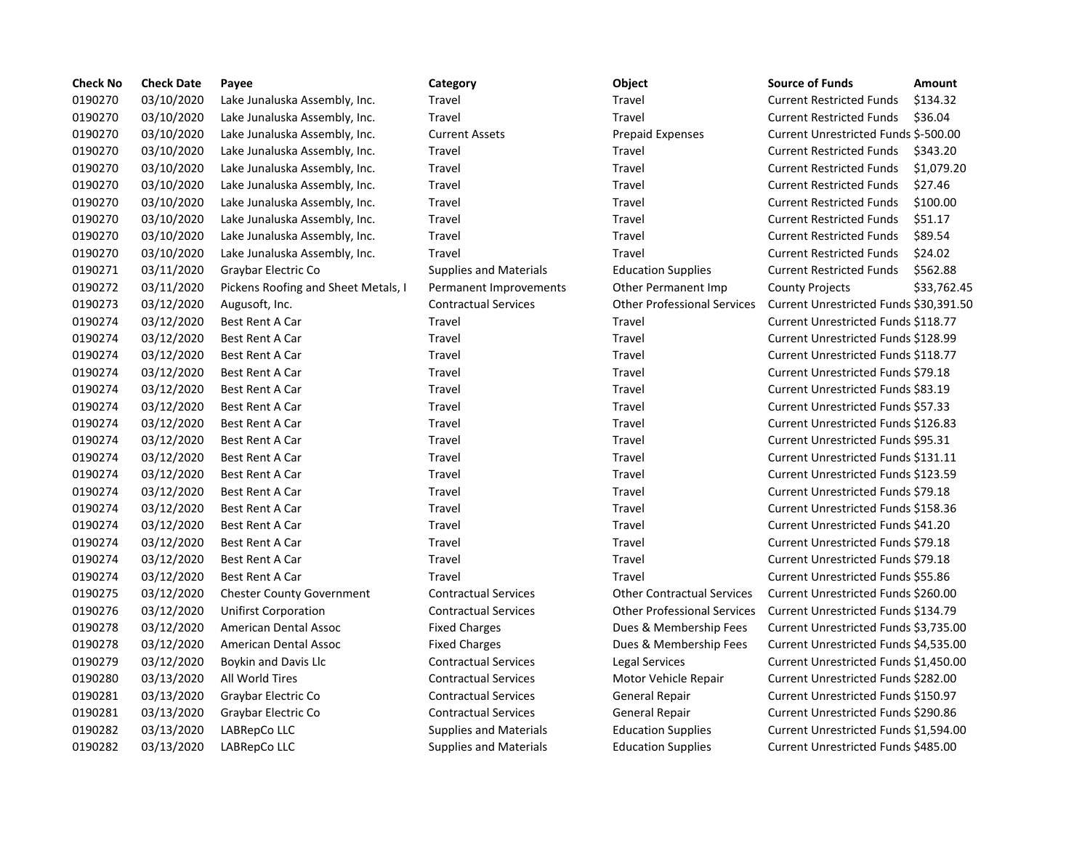| <b>Check No</b> | <b>Check Date</b> | Payee                               | Category                      | Object                             | <b>Source of Funds</b>                    | Amount      |
|-----------------|-------------------|-------------------------------------|-------------------------------|------------------------------------|-------------------------------------------|-------------|
| 0190270         | 03/10/2020        | Lake Junaluska Assembly, Inc.       | Travel                        | Travel                             | <b>Current Restricted Funds</b>           | \$134.32    |
| 0190270         | 03/10/2020        | Lake Junaluska Assembly, Inc.       | Travel                        | Travel                             | <b>Current Restricted Funds</b>           | \$36.04     |
| 0190270         | 03/10/2020        | Lake Junaluska Assembly, Inc.       | <b>Current Assets</b>         | <b>Prepaid Expenses</b>            | Current Unrestricted Funds \$-500.00      |             |
| 0190270         | 03/10/2020        | Lake Junaluska Assembly, Inc.       | Travel                        | Travel                             | <b>Current Restricted Funds</b>           | \$343.20    |
| 0190270         | 03/10/2020        | Lake Junaluska Assembly, Inc.       | Travel                        | Travel                             | <b>Current Restricted Funds</b>           | \$1,079.20  |
| 0190270         | 03/10/2020        | Lake Junaluska Assembly, Inc.       | Travel                        | Travel                             | <b>Current Restricted Funds</b>           | \$27.46     |
| 0190270         | 03/10/2020        | Lake Junaluska Assembly, Inc.       | Travel                        | Travel                             | <b>Current Restricted Funds</b>           | \$100.00    |
| 0190270         | 03/10/2020        | Lake Junaluska Assembly, Inc.       | Travel                        | Travel                             | <b>Current Restricted Funds</b>           | \$51.17     |
| 0190270         | 03/10/2020        | Lake Junaluska Assembly, Inc.       | Travel                        | Travel                             | <b>Current Restricted Funds</b>           | \$89.54     |
| 0190270         | 03/10/2020        | Lake Junaluska Assembly, Inc.       | Travel                        | Travel                             | <b>Current Restricted Funds</b>           | \$24.02     |
| 0190271         | 03/11/2020        | Graybar Electric Co                 | <b>Supplies and Materials</b> | <b>Education Supplies</b>          | <b>Current Restricted Funds</b>           | \$562.88    |
| 0190272         | 03/11/2020        | Pickens Roofing and Sheet Metals, I | Permanent Improvements        | Other Permanent Imp                | <b>County Projects</b>                    | \$33,762.45 |
| 0190273         | 03/12/2020        | Augusoft, Inc.                      | <b>Contractual Services</b>   | <b>Other Professional Services</b> | Current Unrestricted Funds \$30,391.50    |             |
| 0190274         | 03/12/2020        | Best Rent A Car                     | Travel                        | Travel                             | Current Unrestricted Funds \$118.77       |             |
| 0190274         | 03/12/2020        | Best Rent A Car                     | Travel                        | Travel                             | Current Unrestricted Funds \$128.99       |             |
| 0190274         | 03/12/2020        | Best Rent A Car                     | Travel                        | Travel                             | Current Unrestricted Funds \$118.77       |             |
| 0190274         | 03/12/2020        | Best Rent A Car                     | Travel                        | Travel                             | Current Unrestricted Funds \$79.18        |             |
| 0190274         | 03/12/2020        | <b>Best Rent A Car</b>              | <b>Travel</b>                 | Travel                             | Current Unrestricted Funds \$83.19        |             |
| 0190274         | 03/12/2020        | Best Rent A Car                     | <b>Travel</b>                 | Travel                             | Current Unrestricted Funds \$57.33        |             |
| 0190274         | 03/12/2020        | Best Rent A Car                     | Travel                        | Travel                             | Current Unrestricted Funds \$126.83       |             |
| 0190274         | 03/12/2020        | Best Rent A Car                     | <b>Travel</b>                 | Travel                             | Current Unrestricted Funds \$95.31        |             |
| 0190274         | 03/12/2020        | Best Rent A Car                     | Travel                        | Travel                             | Current Unrestricted Funds \$131.11       |             |
| 0190274         | 03/12/2020        | Best Rent A Car                     | Travel                        | Travel                             | Current Unrestricted Funds \$123.59       |             |
| 0190274         | 03/12/2020        | Best Rent A Car                     | Travel                        | Travel                             | Current Unrestricted Funds \$79.18        |             |
| 0190274         | 03/12/2020        | Best Rent A Car                     | Travel                        | Travel                             | Current Unrestricted Funds \$158.36       |             |
| 0190274         | 03/12/2020        | Best Rent A Car                     | Travel                        | Travel                             | Current Unrestricted Funds \$41.20        |             |
| 0190274         | 03/12/2020        | Best Rent A Car                     | Travel                        | Travel                             | Current Unrestricted Funds \$79.18        |             |
| 0190274         | 03/12/2020        | <b>Best Rent A Car</b>              | Travel                        | Travel                             | Current Unrestricted Funds \$79.18        |             |
| 0190274         | 03/12/2020        | <b>Best Rent A Car</b>              | Travel                        | Travel                             | <b>Current Unrestricted Funds \$55.86</b> |             |
| 0190275         | 03/12/2020        | <b>Chester County Government</b>    | <b>Contractual Services</b>   | <b>Other Contractual Services</b>  | Current Unrestricted Funds \$260.00       |             |
| 0190276         | 03/12/2020        | Unifirst Corporation                | <b>Contractual Services</b>   | <b>Other Professional Services</b> | Current Unrestricted Funds \$134.79       |             |
| 0190278         | 03/12/2020        | American Dental Assoc               | <b>Fixed Charges</b>          | Dues & Membership Fees             | Current Unrestricted Funds \$3,735.00     |             |
| 0190278         | 03/12/2020        | American Dental Assoc               | <b>Fixed Charges</b>          | Dues & Membership Fees             | Current Unrestricted Funds \$4,535.00     |             |
| 0190279         | 03/12/2020        | Boykin and Davis Llc                | <b>Contractual Services</b>   | Legal Services                     | Current Unrestricted Funds \$1,450.00     |             |
| 0190280         | 03/13/2020        | All World Tires                     | <b>Contractual Services</b>   | Motor Vehicle Repair               | Current Unrestricted Funds \$282.00       |             |
| 0190281         | 03/13/2020        | Graybar Electric Co                 | <b>Contractual Services</b>   | <b>General Repair</b>              | Current Unrestricted Funds \$150.97       |             |
| 0190281         | 03/13/2020        | Graybar Electric Co                 | <b>Contractual Services</b>   | General Repair                     | Current Unrestricted Funds \$290.86       |             |
| 0190282         | 03/13/2020        | LABRepCo LLC                        | <b>Supplies and Materials</b> | <b>Education Supplies</b>          | Current Unrestricted Funds \$1,594.00     |             |
| 0190282         | 03/13/2020        | LABRepCo LLC                        | <b>Supplies and Materials</b> | <b>Education Supplies</b>          | Current Unrestricted Funds \$485.00       |             |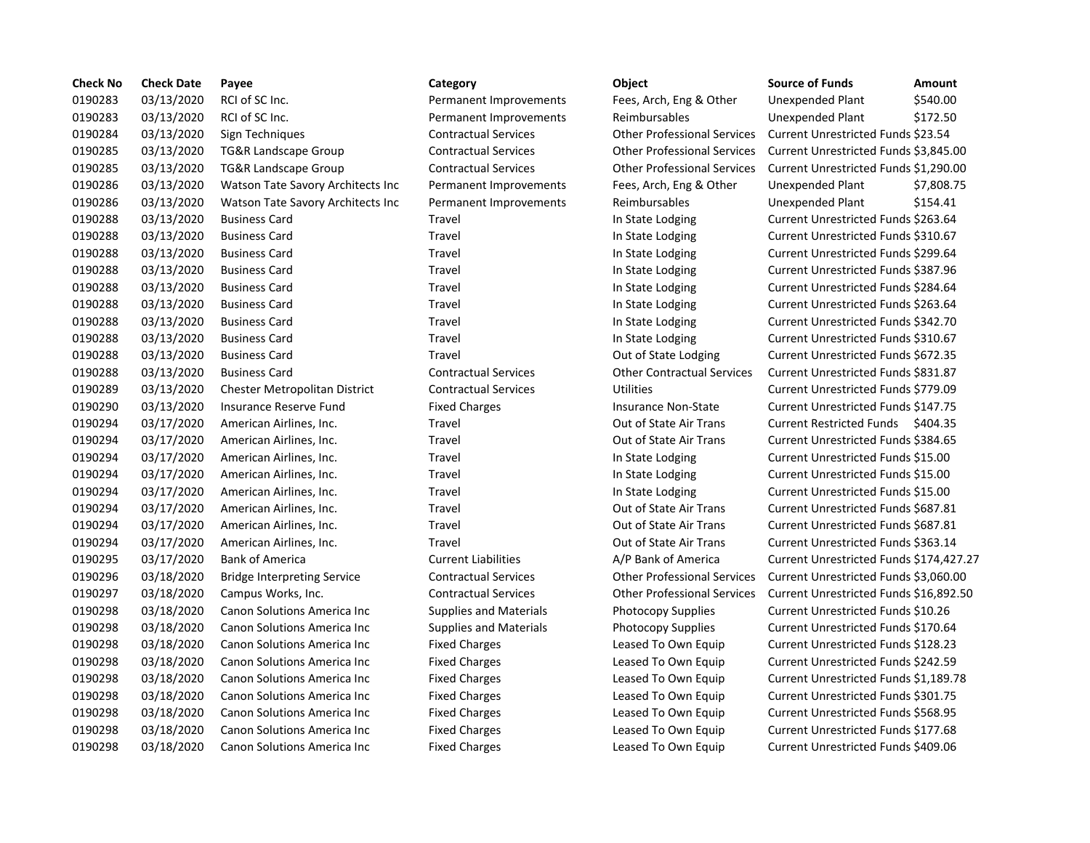| <b>Check No</b> | <b>Check Date</b> | Payee                                | Category                      | Object                             | <b>Source of Funds</b>               | Amount    |
|-----------------|-------------------|--------------------------------------|-------------------------------|------------------------------------|--------------------------------------|-----------|
| 0190283         | 03/13/2020        | RCI of SC Inc.                       | Permanent Improvements        | Fees, Arch, Eng & Other            | Unexpended Plant                     | \$540.00  |
| 0190283         | 03/13/2020        | RCI of SC Inc.                       | Permanent Improvements        | Reimbursables                      | Unexpended Plant                     | \$172.50  |
| 0190284         | 03/13/2020        | Sign Techniques                      | <b>Contractual Services</b>   | <b>Other Professional Services</b> | Current Unrestricted Funds \$23.54   |           |
| 0190285         | 03/13/2020        | <b>TG&amp;R Landscape Group</b>      | <b>Contractual Services</b>   | <b>Other Professional Services</b> | Current Unrestricted Funds \$3,845.0 |           |
| 0190285         | 03/13/2020        | <b>TG&amp;R Landscape Group</b>      | <b>Contractual Services</b>   | <b>Other Professional Services</b> | Current Unrestricted Funds \$1,290.0 |           |
| 0190286         | 03/13/2020        | Watson Tate Savory Architects Inc    | Permanent Improvements        | Fees, Arch, Eng & Other            | Unexpended Plant                     | \$7,808.7 |
| 0190286         | 03/13/2020        | Watson Tate Savory Architects Inc    | Permanent Improvements        | Reimbursables                      | Unexpended Plant                     | \$154.41  |
| 0190288         | 03/13/2020        | <b>Business Card</b>                 | Travel                        | In State Lodging                   | Current Unrestricted Funds \$263.64  |           |
| 0190288         | 03/13/2020        | <b>Business Card</b>                 | Travel                        | In State Lodging                   | Current Unrestricted Funds \$310.67  |           |
| 0190288         | 03/13/2020        | <b>Business Card</b>                 | Travel                        | In State Lodging                   | Current Unrestricted Funds \$299.64  |           |
| 0190288         | 03/13/2020        | <b>Business Card</b>                 | Travel                        | In State Lodging                   | Current Unrestricted Funds \$387.96  |           |
| 0190288         | 03/13/2020        | <b>Business Card</b>                 | Travel                        | In State Lodging                   | Current Unrestricted Funds \$284.64  |           |
| 0190288         | 03/13/2020        | <b>Business Card</b>                 | Travel                        | In State Lodging                   | Current Unrestricted Funds \$263.64  |           |
| 0190288         | 03/13/2020        | <b>Business Card</b>                 | Travel                        | In State Lodging                   | Current Unrestricted Funds \$342.70  |           |
| 0190288         | 03/13/2020        | <b>Business Card</b>                 | Travel                        | In State Lodging                   | Current Unrestricted Funds \$310.67  |           |
| 0190288         | 03/13/2020        | <b>Business Card</b>                 | <b>Travel</b>                 | Out of State Lodging               | Current Unrestricted Funds \$672.35  |           |
| 0190288         | 03/13/2020        | <b>Business Card</b>                 | <b>Contractual Services</b>   | <b>Other Contractual Services</b>  | Current Unrestricted Funds \$831.87  |           |
| 0190289         | 03/13/2020        | <b>Chester Metropolitan District</b> | <b>Contractual Services</b>   | <b>Utilities</b>                   | Current Unrestricted Funds \$779.09  |           |
| 0190290         | 03/13/2020        | Insurance Reserve Fund               | <b>Fixed Charges</b>          | <b>Insurance Non-State</b>         | Current Unrestricted Funds \$147.75  |           |
| 0190294         | 03/17/2020        | American Airlines, Inc.              | Travel                        | Out of State Air Trans             | Current Restricted Funds \$404.35    |           |
| 0190294         | 03/17/2020        | American Airlines, Inc.              | Travel                        | Out of State Air Trans             | Current Unrestricted Funds \$384.65  |           |
| 0190294         | 03/17/2020        | American Airlines, Inc.              | Travel                        | In State Lodging                   | Current Unrestricted Funds \$15.00   |           |
| 0190294         | 03/17/2020        | American Airlines, Inc.              | Travel                        | In State Lodging                   | Current Unrestricted Funds \$15.00   |           |
| 0190294         | 03/17/2020        | American Airlines, Inc.              | Travel                        | In State Lodging                   | Current Unrestricted Funds \$15.00   |           |
| 0190294         | 03/17/2020        | American Airlines, Inc.              | Travel                        | Out of State Air Trans             | Current Unrestricted Funds \$687.81  |           |
| 0190294         | 03/17/2020        | American Airlines, Inc.              | Travel                        | Out of State Air Trans             | Current Unrestricted Funds \$687.81  |           |
| 0190294         | 03/17/2020        | American Airlines, Inc.              | Travel                        | Out of State Air Trans             | Current Unrestricted Funds \$363.14  |           |
| 0190295         | 03/17/2020        | <b>Bank of America</b>               | <b>Current Liabilities</b>    | A/P Bank of America                | Current Unrestricted Funds \$174,42  |           |
| 0190296         | 03/18/2020        | <b>Bridge Interpreting Service</b>   | <b>Contractual Services</b>   | <b>Other Professional Services</b> | Current Unrestricted Funds \$3,060.0 |           |
| 0190297         | 03/18/2020        | Campus Works, Inc.                   | <b>Contractual Services</b>   | <b>Other Professional Services</b> | Current Unrestricted Funds \$16,892  |           |
| 0190298         | 03/18/2020        | Canon Solutions America Inc          | <b>Supplies and Materials</b> | Photocopy Supplies                 | Current Unrestricted Funds \$10.26   |           |
| 0190298         | 03/18/2020        | Canon Solutions America Inc          | <b>Supplies and Materials</b> | Photocopy Supplies                 | Current Unrestricted Funds \$170.64  |           |
| 0190298         | 03/18/2020        | Canon Solutions America Inc          | <b>Fixed Charges</b>          | Leased To Own Equip                | Current Unrestricted Funds \$128.23  |           |
| 0190298         | 03/18/2020        | Canon Solutions America Inc          | <b>Fixed Charges</b>          | Leased To Own Equip                | Current Unrestricted Funds \$242.59  |           |
| 0190298         | 03/18/2020        | Canon Solutions America Inc          | <b>Fixed Charges</b>          | Leased To Own Equip                | Current Unrestricted Funds \$1,189.7 |           |
| 0190298         | 03/18/2020        | Canon Solutions America Inc          | <b>Fixed Charges</b>          | Leased To Own Equip                | Current Unrestricted Funds \$301.75  |           |
| 0190298         | 03/18/2020        | Canon Solutions America Inc          | <b>Fixed Charges</b>          | Leased To Own Equip                | Current Unrestricted Funds \$568.95  |           |
| 0190298         | 03/18/2020        | Canon Solutions America Inc          | <b>Fixed Charges</b>          | Leased To Own Equip                | Current Unrestricted Funds \$177.68  |           |
| 0190298         | 03/18/2020        | Canon Solutions America Inc          | <b>Fixed Charges</b>          | Leased To Own Equip                | Current Unrestricted Funds \$409.06  |           |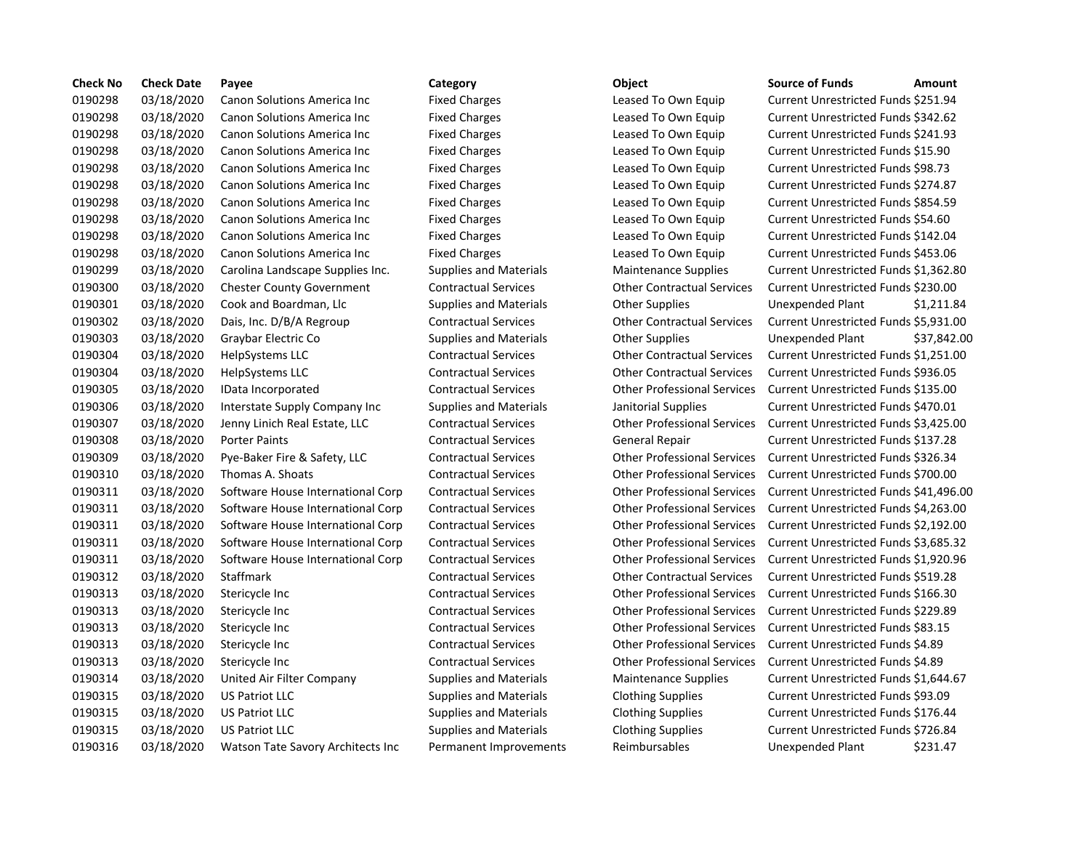| <b>Check No</b> | <b>Check Date</b> | Payee                               | Category                      | Object                             | <b>Source of Funds</b><br>Amount           |
|-----------------|-------------------|-------------------------------------|-------------------------------|------------------------------------|--------------------------------------------|
| 0190298         | 03/18/2020        | Canon Solutions America Inc         | <b>Fixed Charges</b>          | Leased To Own Equip                | Current Unrestricted Funds \$251.94        |
| 0190298         | 03/18/2020        | Canon Solutions America Inc         | <b>Fixed Charges</b>          | Leased To Own Equip                | <b>Current Unrestricted Funds \$342.62</b> |
| 0190298         | 03/18/2020        | Canon Solutions America Inc         | <b>Fixed Charges</b>          | Leased To Own Equip                | Current Unrestricted Funds \$241.93        |
| 0190298         | 03/18/2020        | Canon Solutions America Inc         | <b>Fixed Charges</b>          | Leased To Own Equip                | Current Unrestricted Funds \$15.90         |
| 0190298         | 03/18/2020        | Canon Solutions America Inc         | <b>Fixed Charges</b>          | Leased To Own Equip                | Current Unrestricted Funds \$98.73         |
| 0190298         | 03/18/2020        | Canon Solutions America Inc         | <b>Fixed Charges</b>          | Leased To Own Equip                | Current Unrestricted Funds \$274.87        |
| 0190298         | 03/18/2020        | Canon Solutions America Inc         | <b>Fixed Charges</b>          | Leased To Own Equip                | Current Unrestricted Funds \$854.59        |
| 0190298         | 03/18/2020        | Canon Solutions America Inc         | <b>Fixed Charges</b>          | Leased To Own Equip                | Current Unrestricted Funds \$54.60         |
| 0190298         | 03/18/2020        | Canon Solutions America Inc         | <b>Fixed Charges</b>          | Leased To Own Equip                | Current Unrestricted Funds \$142.04        |
| 0190298         | 03/18/2020        | <b>Canon Solutions America Inc.</b> | <b>Fixed Charges</b>          | Leased To Own Equip                | Current Unrestricted Funds \$453.06        |
| 0190299         | 03/18/2020        | Carolina Landscape Supplies Inc.    | <b>Supplies and Materials</b> | <b>Maintenance Supplies</b>        | Current Unrestricted Funds \$1,362.8       |
| 0190300         | 03/18/2020        | <b>Chester County Government</b>    | <b>Contractual Services</b>   | <b>Other Contractual Services</b>  | Current Unrestricted Funds \$230.00        |
| 0190301         | 03/18/2020        | Cook and Boardman, Llc              | <b>Supplies and Materials</b> | <b>Other Supplies</b>              | Unexpended Plant<br>\$1,211.8              |
| 0190302         | 03/18/2020        | Dais, Inc. D/B/A Regroup            | <b>Contractual Services</b>   | <b>Other Contractual Services</b>  | Current Unrestricted Funds \$5,931.0       |
| 0190303         | 03/18/2020        | Graybar Electric Co                 | <b>Supplies and Materials</b> | <b>Other Supplies</b>              | \$37,842<br>Unexpended Plant               |
| 0190304         | 03/18/2020        | HelpSystems LLC                     | <b>Contractual Services</b>   | <b>Other Contractual Services</b>  | Current Unrestricted Funds \$1,251.        |
| 0190304         | 03/18/2020        | HelpSystems LLC                     | <b>Contractual Services</b>   | <b>Other Contractual Services</b>  | Current Unrestricted Funds \$936.05        |
| 0190305         | 03/18/2020        | IData Incorporated                  | <b>Contractual Services</b>   | <b>Other Professional Services</b> | Current Unrestricted Funds \$135.00        |
| 0190306         | 03/18/2020        | Interstate Supply Company Inc       | <b>Supplies and Materials</b> | Janitorial Supplies                | Current Unrestricted Funds \$470.01        |
| 0190307         | 03/18/2020        | Jenny Linich Real Estate, LLC       | <b>Contractual Services</b>   | <b>Other Professional Services</b> | Current Unrestricted Funds \$3,425.0       |
| 0190308         | 03/18/2020        | <b>Porter Paints</b>                | <b>Contractual Services</b>   | General Repair                     | Current Unrestricted Funds \$137.28        |
| 0190309         | 03/18/2020        | Pye-Baker Fire & Safety, LLC        | <b>Contractual Services</b>   | <b>Other Professional Services</b> | Current Unrestricted Funds \$326.34        |
| 0190310         | 03/18/2020        | Thomas A. Shoats                    | <b>Contractual Services</b>   | <b>Other Professional Services</b> | Current Unrestricted Funds \$700.00        |
| 0190311         | 03/18/2020        | Software House International Corp   | <b>Contractual Services</b>   | <b>Other Professional Services</b> | Current Unrestricted Funds \$41,496        |
| 0190311         | 03/18/2020        | Software House International Corp   | <b>Contractual Services</b>   | <b>Other Professional Services</b> | Current Unrestricted Funds \$4,263.        |
| 0190311         | 03/18/2020        | Software House International Corp   | <b>Contractual Services</b>   | <b>Other Professional Services</b> | Current Unrestricted Funds \$2,192.        |
| 0190311         | 03/18/2020        | Software House International Corp   | <b>Contractual Services</b>   | <b>Other Professional Services</b> | Current Unrestricted Funds \$3,685.3       |
| 0190311         | 03/18/2020        | Software House International Corp   | <b>Contractual Services</b>   | <b>Other Professional Services</b> | Current Unrestricted Funds \$1,920.9       |
| 0190312         | 03/18/2020        | Staffmark                           | <b>Contractual Services</b>   | <b>Other Contractual Services</b>  | Current Unrestricted Funds \$519.28        |
| 0190313         | 03/18/2020        | Stericycle Inc                      | <b>Contractual Services</b>   | <b>Other Professional Services</b> | Current Unrestricted Funds \$166.30        |
| 0190313         | 03/18/2020        | Stericycle Inc                      | <b>Contractual Services</b>   | <b>Other Professional Services</b> | Current Unrestricted Funds \$229.89        |
| 0190313         | 03/18/2020        | Stericycle Inc                      | <b>Contractual Services</b>   | <b>Other Professional Services</b> | Current Unrestricted Funds \$83.15         |
| 0190313         | 03/18/2020        | Stericycle Inc                      | <b>Contractual Services</b>   | <b>Other Professional Services</b> | Current Unrestricted Funds \$4.89          |
| 0190313         | 03/18/2020        | Stericycle Inc                      | <b>Contractual Services</b>   | <b>Other Professional Services</b> | Current Unrestricted Funds \$4.89          |
| 0190314         | 03/18/2020        | United Air Filter Company           | <b>Supplies and Materials</b> | <b>Maintenance Supplies</b>        | Current Unrestricted Funds \$1,644.6       |
| 0190315         | 03/18/2020        | <b>US Patriot LLC</b>               | <b>Supplies and Materials</b> | <b>Clothing Supplies</b>           | Current Unrestricted Funds \$93.09         |
| 0190315         | 03/18/2020        | <b>US Patriot LLC</b>               | <b>Supplies and Materials</b> | <b>Clothing Supplies</b>           | Current Unrestricted Funds \$176.44        |
| 0190315         | 03/18/2020        | <b>US Patriot LLC</b>               | <b>Supplies and Materials</b> | <b>Clothing Supplies</b>           | Current Unrestricted Funds \$726.84        |
| 0190316         | 03/18/2020        | Watson Tate Savory Architects Inc   | Permanent Improvements        | Reimbursables                      | \$231.47<br>Unexpended Plant               |

# Fixed Charges **12020 Canon Solutions America Inc.** Current Unrestricted Funds \$251.94 Fixed Charges **12002 Canon Solutions America Inc.** Current Unrestricted Funds \$342.62 Fixed Charges **12020 Canon Solutions America Inc.** Current Unrestricted Funds \$241.93 Fixed Charges **12.2020** Charges Leased To Own Equip Current Unrestricted Funds \$15.90 Fixed Charges **12020 Canon Solutions America** Leased To Own Equip Current Unrestricted Funds \$98.73 Fixed Charges **12020 Canon Solutions America Inc.** Current Unrestricted Funds \$274.87 Fixed Charges **12002 Canon Solutions America Inc.** Current Unrestricted Funds \$854.59 Fixed Charges **12020 Canon Solutions America Inc.** Current Unrestricted Funds \$54.60 Fixed Charges **12002 Canon Solutions America Inc.** Current Unrestricted Funds \$142.04 Fixed Charges **1200 Canon Solutions America Inc.** Current Unrestricted Funds \$453.06 0190299 03/18/2020 Carolina Landscape Supplies Inc. Supplies and Materials Maintenance Supplies Current Unrestricted Funds \$1,362.80 0190300 03/18/2020 Chester County Government Contractual Services Other Contractual Services Current Unrestricted Funds \$230.00 Supplies and Materials **Communist Content Control** Cher Supplies **Control** Content Content Assemble Supplies Unexpended Plant 0190302 03/18/2020 Dais, Inc. D/B/A Regroup Contractual Services Other Contractual Services Current Unrestricted Funds \$5,931.00 Supplies and Materials **Other Supplies Community** Conservation Unexpended Plant 537,842.00 0190304 03/18/2020 HelpSystems LLC Contractual Services Other Contractual Services Current Unrestricted Funds \$1,251.00 0190304 03/18/2020 HelpSystems LLC Contractual Services Other Contractual Services Current Unrestricted Funds \$936.05 0190305 03/18/2020 IData Incorporated Contractual Services Other Professional Services Current Unrestricted Funds \$135.00 0190306 03/18/2020 Interstate Supply Company Inc Supplies and Materials Janitorial Supplies Current Unrestricted Funds \$470.01 0190307 03/18/2020 Jenny Linich Real Estate, LLC Contractual Services Other Professional Services Current Unrestricted Funds \$3,425.00 0190308 03/18/2020 Porter Paints Contractual Services General Repair Current Unrestricted Funds \$137.28 0190309 03/18/2020 Pye-Baker Fire & Safety, LLC Contractual Services Other Professional Services Current Unrestricted Funds \$326.34 0190310 03/18/2020 Thomas A. Shoats Contractual Services Other Professional Services Current Unrestricted Funds \$700.00 0190311 03/18/2020 Software House International Corp Contractual Services Other Professional Services Current Unrestricted Funds \$41,496.00 0190311 03/18/2020 Software House International Corp Contractual Services Other Professional Services Current Unrestricted Funds \$4,263.00 0190311 03/18/2020 Software House International Corp Contractual Services Other Professional Services Current Unrestricted Funds \$2,192.00 0190311 03/18/2020 Software House International Corp Contractual Services Other Professional Services Current Unrestricted Funds \$3,685.32 0190311 03/18/2020 Software House International Corp Contractual Services Other Professional Services Current Unrestricted Funds \$1,920.96 0190312 03/18/2020 Staffmark Contractual Services Other Contractual Services Current Unrestricted Funds \$519.28 0190313 03/18/2020 Stericycle Inc Contractual Services Other Professional Services Current Unrestricted Funds \$166.30 0190313 03/18/2020 Stericycle Inc Contractual Services Other Professional Services Current Unrestricted Funds \$229.89 0190313 03/18/2020 Stericycle Inc Contractual Services Other Professional Services Current Unrestricted Funds \$83.15 0190313 03/18/2020 Stericycle Inc Contractual Services Other Professional Services Current Unrestricted Funds \$4.89 0190313 03/18/2020 Stericycle Inc Contractual Services Other Professional Services Current Unrestricted Funds \$4.89 0190314 03/18/2020 United Air Filter Company Supplies and Materials Maintenance Supplies Current Unrestricted Funds \$1,644.67 Supplies and Materials **Clothing Supplies** Current Unrestricted Funds \$93.09 Supplies and Materials **Clothing Supplies Current Unrestricted Funds \$176.44** Supplies and Materials **Clothing Supplies Current Unrestricted Funds \$726.84**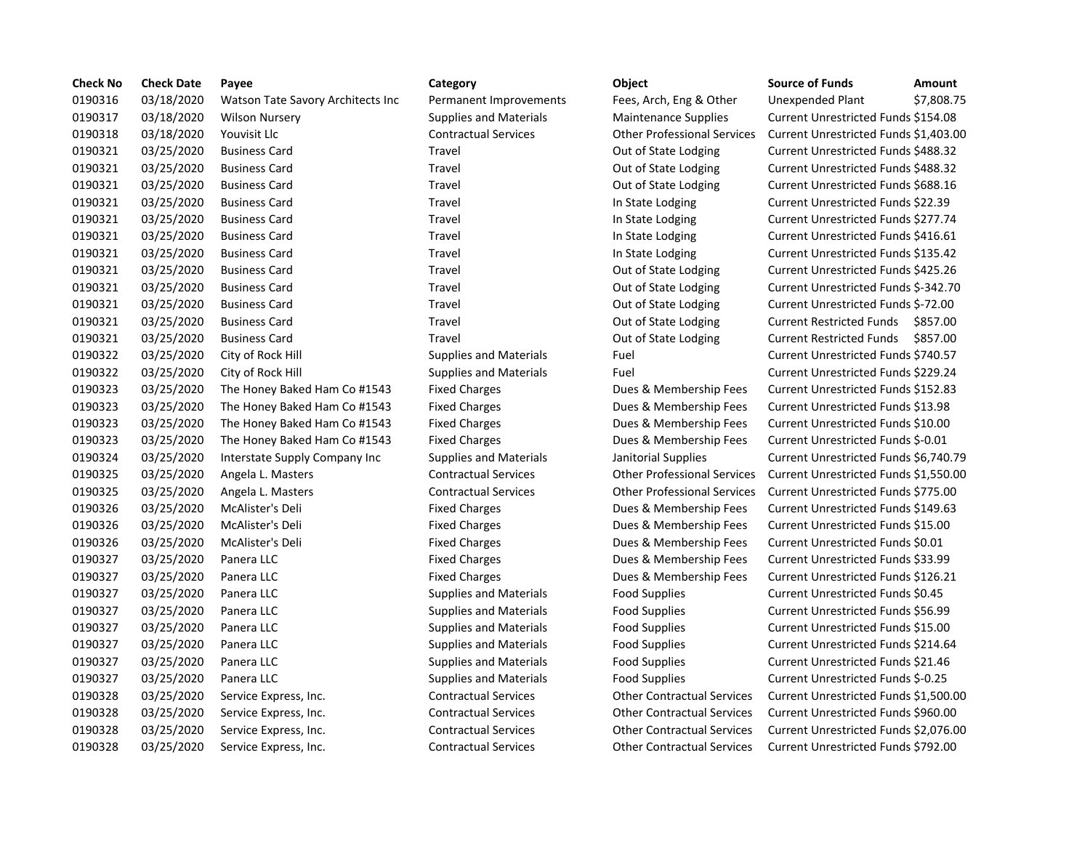| <b>Check No</b> | <b>Check Date</b> | Payee                             | Category                      | Object                             | <b>Source of Funds</b>               | Amount    |
|-----------------|-------------------|-----------------------------------|-------------------------------|------------------------------------|--------------------------------------|-----------|
| 0190316         | 03/18/2020        | Watson Tate Savory Architects Inc | Permanent Improvements        | Fees, Arch, Eng & Other            | Unexpended Plant                     | \$7,808.7 |
| 0190317         | 03/18/2020        | <b>Wilson Nursery</b>             | <b>Supplies and Materials</b> | <b>Maintenance Supplies</b>        | Current Unrestricted Funds \$154.08  |           |
| 0190318         | 03/18/2020        | Youvisit Llc                      | <b>Contractual Services</b>   | <b>Other Professional Services</b> | Current Unrestricted Funds \$1,403.  |           |
| 0190321         | 03/25/2020        | <b>Business Card</b>              | Travel                        | Out of State Lodging               | Current Unrestricted Funds \$488.32  |           |
| 0190321         | 03/25/2020        | <b>Business Card</b>              | Travel                        | Out of State Lodging               | Current Unrestricted Funds \$488.32  |           |
| 0190321         | 03/25/2020        | <b>Business Card</b>              | Travel                        | Out of State Lodging               | Current Unrestricted Funds \$688.16  |           |
| 0190321         | 03/25/2020        | <b>Business Card</b>              | Travel                        | In State Lodging                   | Current Unrestricted Funds \$22.39   |           |
| 0190321         | 03/25/2020        | <b>Business Card</b>              | Travel                        | In State Lodging                   | Current Unrestricted Funds \$277.74  |           |
| 0190321         | 03/25/2020        | <b>Business Card</b>              | Travel                        | In State Lodging                   | Current Unrestricted Funds \$416.61  |           |
| 0190321         | 03/25/2020        | <b>Business Card</b>              | Travel                        | In State Lodging                   | Current Unrestricted Funds \$135.42  |           |
| 0190321         | 03/25/2020        | <b>Business Card</b>              | Travel                        | Out of State Lodging               | Current Unrestricted Funds \$425.26  |           |
| 0190321         | 03/25/2020        | <b>Business Card</b>              | Travel                        | Out of State Lodging               | Current Unrestricted Funds \$-342.70 |           |
| 0190321         | 03/25/2020        | <b>Business Card</b>              | Travel                        | Out of State Lodging               | Current Unrestricted Funds \$-72.00  |           |
| 0190321         | 03/25/2020        | <b>Business Card</b>              | Travel                        | Out of State Lodging               | <b>Current Restricted Funds</b>      | \$857.00  |
| 0190321         | 03/25/2020        | <b>Business Card</b>              | Travel                        | Out of State Lodging               | <b>Current Restricted Funds</b>      | \$857.00  |
| 0190322         | 03/25/2020        | City of Rock Hill                 | <b>Supplies and Materials</b> | Fuel                               | Current Unrestricted Funds \$740.57  |           |
| 0190322         | 03/25/2020        | City of Rock Hill                 | <b>Supplies and Materials</b> | Fuel                               | Current Unrestricted Funds \$229.24  |           |
| 0190323         | 03/25/2020        | The Honey Baked Ham Co #1543      | <b>Fixed Charges</b>          | Dues & Membership Fees             | Current Unrestricted Funds \$152.83  |           |
| 0190323         | 03/25/2020        | The Honey Baked Ham Co #1543      | <b>Fixed Charges</b>          | Dues & Membership Fees             | Current Unrestricted Funds \$13.98   |           |
| 0190323         | 03/25/2020        | The Honey Baked Ham Co #1543      | <b>Fixed Charges</b>          | Dues & Membership Fees             | Current Unrestricted Funds \$10.00   |           |
| 0190323         | 03/25/2020        | The Honey Baked Ham Co #1543      | <b>Fixed Charges</b>          | Dues & Membership Fees             | Current Unrestricted Funds \$-0.01   |           |
| 0190324         | 03/25/2020        | Interstate Supply Company Inc     | <b>Supplies and Materials</b> | Janitorial Supplies                | Current Unrestricted Funds \$6,740.7 |           |
| 0190325         | 03/25/2020        | Angela L. Masters                 | <b>Contractual Services</b>   | <b>Other Professional Services</b> | Current Unrestricted Funds \$1,550.0 |           |
| 0190325         | 03/25/2020        | Angela L. Masters                 | <b>Contractual Services</b>   | <b>Other Professional Services</b> | Current Unrestricted Funds \$775.00  |           |
| 0190326         | 03/25/2020        | McAlister's Deli                  | <b>Fixed Charges</b>          | Dues & Membership Fees             | Current Unrestricted Funds \$149.63  |           |
| 0190326         | 03/25/2020        | McAlister's Deli                  | <b>Fixed Charges</b>          | Dues & Membership Fees             | Current Unrestricted Funds \$15.00   |           |
| 0190326         | 03/25/2020        | McAlister's Deli                  | <b>Fixed Charges</b>          | Dues & Membership Fees             | Current Unrestricted Funds \$0.01    |           |
| 0190327         | 03/25/2020        | Panera LLC                        | <b>Fixed Charges</b>          | Dues & Membership Fees             | Current Unrestricted Funds \$33.99   |           |
| 0190327         | 03/25/2020        | Panera LLC                        | <b>Fixed Charges</b>          | Dues & Membership Fees             | Current Unrestricted Funds \$126.21  |           |
| 0190327         | 03/25/2020        | Panera LLC                        | <b>Supplies and Materials</b> | <b>Food Supplies</b>               | Current Unrestricted Funds \$0.45    |           |
| 0190327         | 03/25/2020        | Panera LLC                        | <b>Supplies and Materials</b> | <b>Food Supplies</b>               | Current Unrestricted Funds \$56.99   |           |
| 0190327         | 03/25/2020        | Panera LLC                        | <b>Supplies and Materials</b> | Food Supplies                      | Current Unrestricted Funds \$15.00   |           |
| 0190327         | 03/25/2020        | Panera LLC                        | <b>Supplies and Materials</b> | Food Supplies                      | Current Unrestricted Funds \$214.64  |           |
| 0190327         | 03/25/2020        | Panera LLC                        | <b>Supplies and Materials</b> | <b>Food Supplies</b>               | Current Unrestricted Funds \$21.46   |           |
| 0190327         | 03/25/2020        | Panera LLC                        | <b>Supplies and Materials</b> | Food Supplies                      | Current Unrestricted Funds \$-0.25   |           |
| 0190328         | 03/25/2020        | Service Express, Inc.             | <b>Contractual Services</b>   | <b>Other Contractual Services</b>  | Current Unrestricted Funds \$1,500.0 |           |
| 0190328         | 03/25/2020        | Service Express, Inc.             | <b>Contractual Services</b>   | <b>Other Contractual Services</b>  | Current Unrestricted Funds \$960.00  |           |
| 0190328         | 03/25/2020        | Service Express, Inc.             | <b>Contractual Services</b>   | <b>Other Contractual Services</b>  | Current Unrestricted Funds \$2,076.0 |           |
| 0190328         | 03/25/2020        | Service Express, Inc.             | <b>Contractual Services</b>   | <b>Other Contractual Services</b>  | Current Unrestricted Funds \$792.00  |           |

# Permanent Improvements Fees, Arch, Eng & Other Unexpended Plant \$7,808.75 0190317 03/18/2020 Wilson Nursery Supplies and Materials Maintenance Supplies Current Unrestricted Funds \$154.08 0190318 03/18/2020 Youvisit Llc Contractual Services Other Professional Services Current Unrestricted Funds \$1,403.00 Travel **1903** Out of State Lodging Current Unrestricted Funds \$488.32 Travel **1903** Out of State Lodging Current Unrestricted Funds \$488.32 Travel **2003** Out of State Lodging Current Unrestricted Funds \$688.16 Travel **In State Lodging Current Unrestricted Funds \$22.39** Travel **Dusiness Card Travel State Lodging Current Unrestricted Funds \$277.74** Travel **12020** In State Lodging Current Unrestricted Funds \$416.61 0190321 03/25/2020 Business Card Travel In State Lodging Current Unrestricted Funds \$135.42 Travel **2425.26** Out of State Lodging Current Unrestricted Funds \$425.26 Travel **1903** Out of State Lodging Current Unrestricted Funds \$-342.70 Travel **2020 2020** Out of State Lodging Current Unrestricted Funds \$-72.00 Travel **2020** 2013 Out of State Lodging Current Restricted Funds \$857.00 Travel **2020** Out of State Lodging Current Restricted Funds \$857.00 0190322 03/25/2020 City of Rock Hill Supplies and Materials Fuel Current Unrestricted Funds \$740.57 Supplies and Materials Fuel Fuel Current Unrestricted Funds \$229.24 Fixed Charges The Honey Bakes Baked Charges Ham Co Englished Funds \$152.83 Fixed Charges The Honey Bakes Baken Bakes Baked Current Unrestricted Funds \$13.98 Fixed Charges The Honey Bakes Baked Charges Ham Controllership Fees Current Unrestricted Funds \$10.00 Fixed Charges The Honey Bakes Baked Charges Ham Current Unrestricted Funds \$-0.01 0190324 03/25/2020 Interstate Supply Company Inc Supplies and Materials Janitorial Supplies Current Unrestricted Funds \$6,740.79 0190325 03/25/2020 Angela L. Masters Contractual Services Other Professional Services Current Unrestricted Funds \$1,550.00 0190325 03/25/2020 Angela L. Masters Contractual Services Other Professional Services Current Unrestricted Funds \$775.00 Fixed Charges **12020 2020 Dues & Membership Fees** Current Unrestricted Funds \$149.63 Fixed Charges **Dues & Membership Fees** Current Unrestricted Funds \$15.00 Fixed Charges **2020** Dues & Membership Fees Current Unrestricted Funds \$0.01 Fixed Charges **Dues & Membership Fees** Current Unrestricted Funds \$33.99 Fixed Charges **Dues & Membership Fees** Current Unrestricted Funds \$126.21 Supplies and Materials **Example Food Supplies Current Unrestricted Funds \$0.45** Supplies and Materials **Example Propries Engineer Supplies** Current Unrestricted Funds \$56.99 0190327 03/25/2020 Panera LLC Supplies and Materials Food Supplies Current Unrestricted Funds \$15.00 Supplies and Materials **Example Food Supplies Current Unrestricted Funds \$214.64** Supplies and Materials Food Supplies Current Unrestricted Funds \$21.46 Supplies and Materials **Example Food Supplies Current Unrestricted Funds \$-0.25** 0190328 03/25/2020 Service Express, Inc. Contractual Services Other Contractual Services Current Unrestricted Funds \$1,500.00 0190328 03/25/2020 Service Express, Inc. Contractual Services Other Contractual Services Current Unrestricted Funds \$960.00 0190328 03/25/2020 Service Express, Inc. Contractual Services Other Contractual Services Current Unrestricted Funds \$2,076.00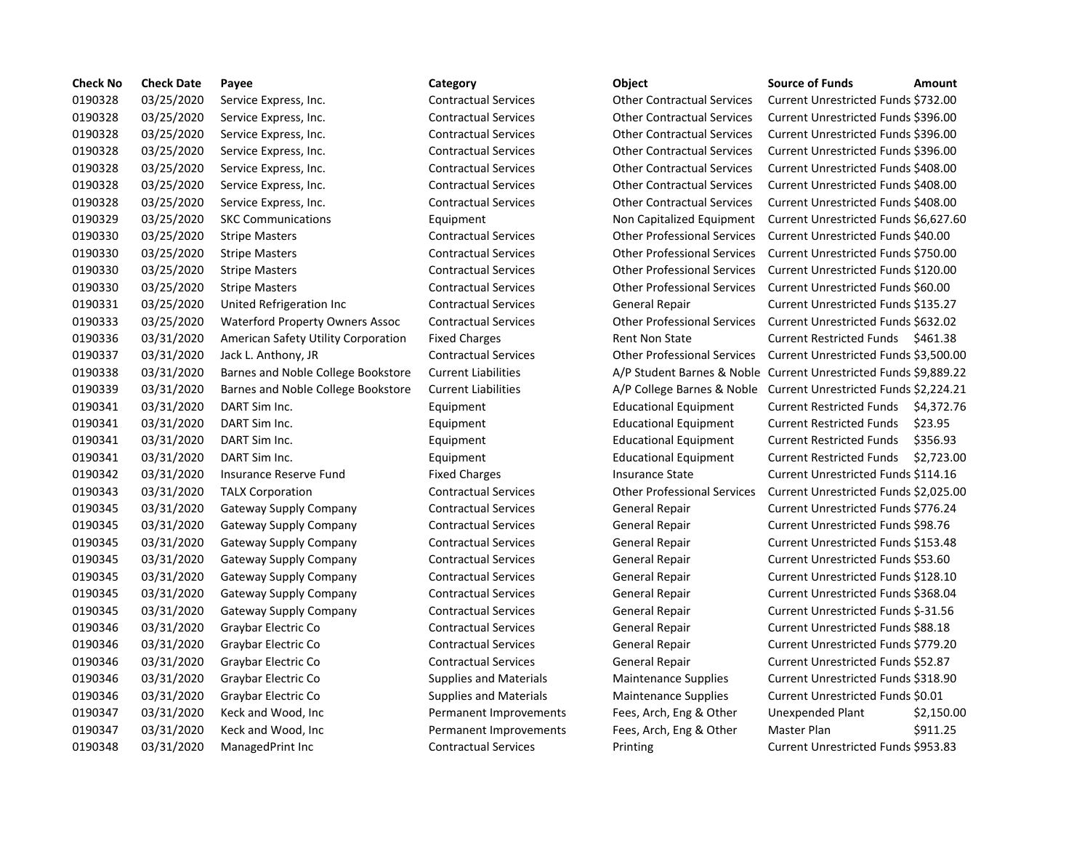| <b>Check No</b> | <b>Check Date</b> | Payee                                  | Category                      | Object                             | <b>Source of Funds</b>                                          | Amount    |
|-----------------|-------------------|----------------------------------------|-------------------------------|------------------------------------|-----------------------------------------------------------------|-----------|
| 0190328         | 03/25/2020        | Service Express, Inc.                  | <b>Contractual Services</b>   | <b>Other Contractual Services</b>  | Current Unrestricted Funds \$732.00                             |           |
| 0190328         | 03/25/2020        | Service Express, Inc.                  | <b>Contractual Services</b>   | <b>Other Contractual Services</b>  | Current Unrestricted Funds \$396.00                             |           |
| 0190328         | 03/25/2020        | Service Express, Inc.                  | <b>Contractual Services</b>   | <b>Other Contractual Services</b>  | Current Unrestricted Funds \$396.00                             |           |
| 0190328         | 03/25/2020        | Service Express, Inc.                  | <b>Contractual Services</b>   | <b>Other Contractual Services</b>  | Current Unrestricted Funds \$396.00                             |           |
| 0190328         | 03/25/2020        | Service Express, Inc.                  | <b>Contractual Services</b>   | <b>Other Contractual Services</b>  | Current Unrestricted Funds \$408.00                             |           |
| 0190328         | 03/25/2020        | Service Express, Inc.                  | <b>Contractual Services</b>   | <b>Other Contractual Services</b>  | Current Unrestricted Funds \$408.00                             |           |
| 0190328         | 03/25/2020        | Service Express, Inc.                  | <b>Contractual Services</b>   | <b>Other Contractual Services</b>  | Current Unrestricted Funds \$408.00                             |           |
| 0190329         | 03/25/2020        | <b>SKC Communications</b>              | Equipment                     | Non Capitalized Equipment          | Current Unrestricted Funds \$6,627.6                            |           |
| 0190330         | 03/25/2020        | <b>Stripe Masters</b>                  | <b>Contractual Services</b>   | <b>Other Professional Services</b> | Current Unrestricted Funds \$40.00                              |           |
| 0190330         | 03/25/2020        | <b>Stripe Masters</b>                  | <b>Contractual Services</b>   | <b>Other Professional Services</b> | Current Unrestricted Funds \$750.00                             |           |
| 0190330         | 03/25/2020        | <b>Stripe Masters</b>                  | <b>Contractual Services</b>   | <b>Other Professional Services</b> | Current Unrestricted Funds \$120.00                             |           |
| 0190330         | 03/25/2020        | <b>Stripe Masters</b>                  | <b>Contractual Services</b>   | <b>Other Professional Services</b> | Current Unrestricted Funds \$60.00                              |           |
| 0190331         | 03/25/2020        | United Refrigeration Inc               | <b>Contractual Services</b>   | <b>General Repair</b>              | Current Unrestricted Funds \$135.27                             |           |
| 0190333         | 03/25/2020        | <b>Waterford Property Owners Assoc</b> | <b>Contractual Services</b>   | <b>Other Professional Services</b> | Current Unrestricted Funds \$632.02                             |           |
| 0190336         | 03/31/2020        | American Safety Utility Corporation    | <b>Fixed Charges</b>          | <b>Rent Non State</b>              | <b>Current Restricted Funds</b>                                 | \$461.38  |
| 0190337         | 03/31/2020        | Jack L. Anthony, JR                    | <b>Contractual Services</b>   | <b>Other Professional Services</b> | Current Unrestricted Funds \$3,500.0                            |           |
| 0190338         | 03/31/2020        | Barnes and Noble College Bookstore     | <b>Current Liabilities</b>    |                                    | A/P Student Barnes & Noble Current Unrestricted Funds \$9,889.2 |           |
| 0190339         | 03/31/2020        | Barnes and Noble College Bookstore     | <b>Current Liabilities</b>    | A/P College Barnes & Noble         | Current Unrestricted Funds \$2,224.2                            |           |
| 0190341         | 03/31/2020        | DART Sim Inc.                          | Equipment                     | <b>Educational Equipment</b>       | <b>Current Restricted Funds</b>                                 | \$4,372.7 |
| 0190341         | 03/31/2020        | DART Sim Inc.                          | Equipment                     | <b>Educational Equipment</b>       | <b>Current Restricted Funds</b>                                 | \$23.95   |
| 0190341         | 03/31/2020        | DART Sim Inc.                          | Equipment                     | <b>Educational Equipment</b>       | <b>Current Restricted Funds</b>                                 | \$356.93  |
| 0190341         | 03/31/2020        | DART Sim Inc.                          | Equipment                     | <b>Educational Equipment</b>       | <b>Current Restricted Funds</b>                                 | \$2,723.0 |
| 0190342         | 03/31/2020        | Insurance Reserve Fund                 | <b>Fixed Charges</b>          | <b>Insurance State</b>             | Current Unrestricted Funds \$114.16                             |           |
| 0190343         | 03/31/2020        | <b>TALX Corporation</b>                | <b>Contractual Services</b>   | <b>Other Professional Services</b> | Current Unrestricted Funds \$2,025.0                            |           |
| 0190345         | 03/31/2020        | Gateway Supply Company                 | <b>Contractual Services</b>   | General Repair                     | Current Unrestricted Funds \$776.24                             |           |
| 0190345         | 03/31/2020        | <b>Gateway Supply Company</b>          | <b>Contractual Services</b>   | General Repair                     | Current Unrestricted Funds \$98.76                              |           |
| 0190345         | 03/31/2020        | Gateway Supply Company                 | <b>Contractual Services</b>   | General Repair                     | Current Unrestricted Funds \$153.48                             |           |
| 0190345         | 03/31/2020        | <b>Gateway Supply Company</b>          | <b>Contractual Services</b>   | General Repair                     | Current Unrestricted Funds \$53.60                              |           |
| 0190345         | 03/31/2020        | Gateway Supply Company                 | <b>Contractual Services</b>   | General Repair                     | Current Unrestricted Funds \$128.10                             |           |
| 0190345         | 03/31/2020        | <b>Gateway Supply Company</b>          | <b>Contractual Services</b>   | General Repair                     | Current Unrestricted Funds \$368.04                             |           |
| 0190345         | 03/31/2020        | Gateway Supply Company                 | <b>Contractual Services</b>   | General Repair                     | Current Unrestricted Funds \$-31.56                             |           |
| 0190346         | 03/31/2020        | Graybar Electric Co                    | <b>Contractual Services</b>   | General Repair                     | Current Unrestricted Funds \$88.18                              |           |
| 0190346         | 03/31/2020        | Graybar Electric Co                    | <b>Contractual Services</b>   | General Repair                     | Current Unrestricted Funds \$779.20                             |           |
| 0190346         | 03/31/2020        | Graybar Electric Co                    | <b>Contractual Services</b>   | General Repair                     | Current Unrestricted Funds \$52.87                              |           |
| 0190346         | 03/31/2020        | Graybar Electric Co                    | <b>Supplies and Materials</b> | <b>Maintenance Supplies</b>        | Current Unrestricted Funds \$318.90                             |           |
| 0190346         | 03/31/2020        | Graybar Electric Co                    | <b>Supplies and Materials</b> | <b>Maintenance Supplies</b>        | Current Unrestricted Funds \$0.01                               |           |
| 0190347         | 03/31/2020        | Keck and Wood, Inc                     | Permanent Improvements        | Fees, Arch, Eng & Other            | Unexpended Plant                                                | \$2,150.0 |
| 0190347         | 03/31/2020        | Keck and Wood, Inc                     | Permanent Improvements        | Fees, Arch, Eng & Other            | Master Plan                                                     | \$911.25  |
| 0190348         | 03/31/2020        | ManagedPrint Inc                       | <b>Contractual Services</b>   | Printing                           | Current Unrestricted Funds \$953.83                             |           |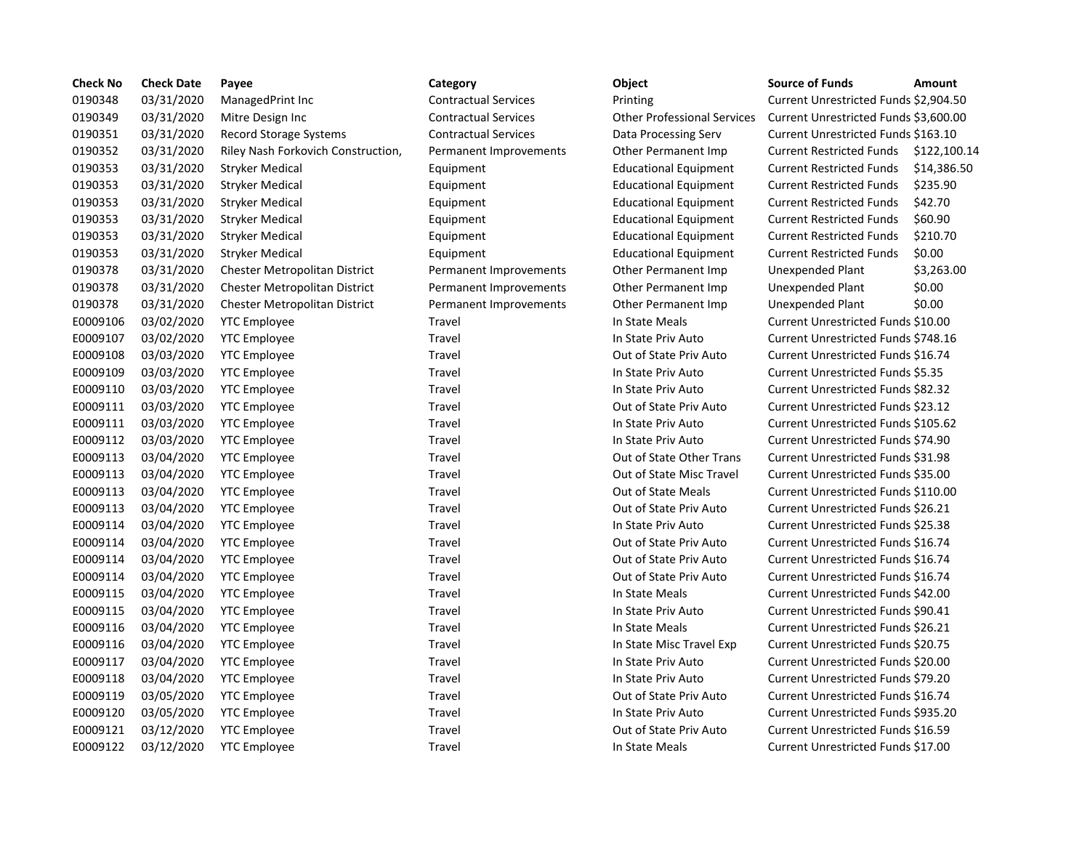| <b>Check No</b> | <b>Check Date</b> | Payee                                | Category                    | Object                             | <b>Source of Funds</b>                   | Amount    |
|-----------------|-------------------|--------------------------------------|-----------------------------|------------------------------------|------------------------------------------|-----------|
| 0190348         | 03/31/2020        | ManagedPrint Inc                     | <b>Contractual Services</b> | Printing                           | Current Unrestricted Funds \$2,904.5     |           |
| 0190349         | 03/31/2020        | Mitre Design Inc                     | <b>Contractual Services</b> | <b>Other Professional Services</b> | Current Unrestricted Funds \$3,600.0     |           |
| 0190351         | 03/31/2020        | Record Storage Systems               | <b>Contractual Services</b> | Data Processing Serv               | Current Unrestricted Funds \$163.10      |           |
| 0190352         | 03/31/2020        | Riley Nash Forkovich Construction,   | Permanent Improvements      | Other Permanent Imp                | <b>Current Restricted Funds</b>          | \$122,10  |
| 0190353         | 03/31/2020        | <b>Stryker Medical</b>               | Equipment                   | <b>Educational Equipment</b>       | <b>Current Restricted Funds</b>          | \$14,386  |
| 0190353         | 03/31/2020        | <b>Stryker Medical</b>               | Equipment                   | <b>Educational Equipment</b>       | <b>Current Restricted Funds</b>          | \$235.90  |
| 0190353         | 03/31/2020        | <b>Stryker Medical</b>               | Equipment                   | <b>Educational Equipment</b>       | <b>Current Restricted Funds</b>          | \$42.70   |
| 0190353         | 03/31/2020        | <b>Stryker Medical</b>               | Equipment                   | <b>Educational Equipment</b>       | <b>Current Restricted Funds</b>          | \$60.90   |
| 0190353         | 03/31/2020        | <b>Stryker Medical</b>               | Equipment                   | <b>Educational Equipment</b>       | <b>Current Restricted Funds</b>          | \$210.70  |
| 0190353         | 03/31/2020        | <b>Stryker Medical</b>               | Equipment                   | <b>Educational Equipment</b>       | <b>Current Restricted Funds</b>          | \$0.00    |
| 0190378         | 03/31/2020        | Chester Metropolitan District        | Permanent Improvements      | Other Permanent Imp                | <b>Unexpended Plant</b>                  | \$3,263.0 |
| 0190378         | 03/31/2020        | Chester Metropolitan District        | Permanent Improvements      | Other Permanent Imp                | Unexpended Plant                         | \$0.00    |
| 0190378         | 03/31/2020        | <b>Chester Metropolitan District</b> | Permanent Improvements      | Other Permanent Imp                | Unexpended Plant                         | \$0.00    |
| E0009106        | 03/02/2020        | <b>YTC Employee</b>                  | Travel                      | In State Meals                     | Current Unrestricted Funds \$10.00       |           |
| E0009107        | 03/02/2020        | <b>YTC Employee</b>                  | <b>Travel</b>               | In State Priv Auto                 | Current Unrestricted Funds \$748.16      |           |
| E0009108        | 03/03/2020        | <b>YTC Employee</b>                  | <b>Travel</b>               | Out of State Priv Auto             | Current Unrestricted Funds \$16.74       |           |
| E0009109        | 03/03/2020        | <b>YTC Employee</b>                  | <b>Travel</b>               | In State Priv Auto                 | <b>Current Unrestricted Funds \$5.35</b> |           |
| E0009110        | 03/03/2020        | <b>YTC Employee</b>                  | Travel                      | In State Priv Auto                 | Current Unrestricted Funds \$82.32       |           |
| E0009111        | 03/03/2020        | <b>YTC Employee</b>                  | Travel                      | Out of State Priv Auto             | Current Unrestricted Funds \$23.12       |           |
| E0009111        | 03/03/2020        | <b>YTC Employee</b>                  | Travel                      | In State Priv Auto                 | Current Unrestricted Funds \$105.62      |           |
| E0009112        | 03/03/2020        | <b>YTC Employee</b>                  | Travel                      | In State Priv Auto                 | Current Unrestricted Funds \$74.90       |           |
| E0009113        | 03/04/2020        | <b>YTC Employee</b>                  | Travel                      | Out of State Other Trans           | Current Unrestricted Funds \$31.98       |           |
| E0009113        | 03/04/2020        | <b>YTC Employee</b>                  | Travel                      | Out of State Misc Travel           | Current Unrestricted Funds \$35.00       |           |
| E0009113        | 03/04/2020        | <b>YTC Employee</b>                  | Travel                      | Out of State Meals                 | Current Unrestricted Funds \$110.00      |           |
| E0009113        | 03/04/2020        | <b>YTC Employee</b>                  | Travel                      | Out of State Priv Auto             | Current Unrestricted Funds \$26.21       |           |
| E0009114        | 03/04/2020        | <b>YTC Employee</b>                  | Travel                      | In State Priv Auto                 | Current Unrestricted Funds \$25.38       |           |
| E0009114        | 03/04/2020        | <b>YTC Employee</b>                  | Travel                      | Out of State Priv Auto             | Current Unrestricted Funds \$16.74       |           |
| E0009114        | 03/04/2020        | <b>YTC Employee</b>                  | <b>Travel</b>               | Out of State Priv Auto             | Current Unrestricted Funds \$16.74       |           |
| E0009114        | 03/04/2020        | <b>YTC Employee</b>                  | Travel                      | Out of State Priv Auto             | Current Unrestricted Funds \$16.74       |           |
| E0009115        | 03/04/2020        | <b>YTC Employee</b>                  | <b>Travel</b>               | In State Meals                     | Current Unrestricted Funds \$42.00       |           |
| E0009115        | 03/04/2020        | <b>YTC Employee</b>                  | Travel                      | In State Priv Auto                 | Current Unrestricted Funds \$90.41       |           |
| E0009116        | 03/04/2020        | <b>YTC Employee</b>                  | <b>Travel</b>               | In State Meals                     | Current Unrestricted Funds \$26.21       |           |
| E0009116        | 03/04/2020        | <b>YTC Employee</b>                  | Travel                      | In State Misc Travel Exp           | Current Unrestricted Funds \$20.75       |           |
| E0009117        | 03/04/2020        | <b>YTC Employee</b>                  | Travel                      | In State Priv Auto                 | Current Unrestricted Funds \$20.00       |           |
| E0009118        | 03/04/2020        | <b>YTC Employee</b>                  | <b>Travel</b>               | In State Priv Auto                 | Current Unrestricted Funds \$79.20       |           |
| E0009119        | 03/05/2020        | <b>YTC Employee</b>                  | Travel                      | Out of State Priv Auto             | Current Unrestricted Funds \$16.74       |           |
| E0009120        | 03/05/2020        | <b>YTC Employee</b>                  | Travel                      | In State Priv Auto                 | Current Unrestricted Funds \$935.20      |           |
| E0009121        | 03/12/2020        | <b>YTC Employee</b>                  | Travel                      | Out of State Priv Auto             | Current Unrestricted Funds \$16.59       |           |
| E0009122        | 03/12/2020        | <b>YTC Employee</b>                  | Travel                      | In State Meals                     | Current Unrestricted Funds \$17.00       |           |

# out Services **12020 Printing Current Unrestricted Funds \$2,904.50** aal Services **Contractual Services** Current Unrestricted Funds \$3,600.00 on Bata Processing Serv Current Unrestricted Funds \$163.10 nt Improvements Cther Permanent Imp Current Restricted Funds \$122,100.14 0190353 03/31/2020 Stryker Medical Equipment Educational Equipment Current Restricted Funds \$14,386.50 01 11 1903 1310 Educational Equipment Current Restricted Funds \$235.90 0153 03/31/2020 Structure Medicational Equipment Current Restricted Funds \$42.70 0153053 01313 013/31/2020 Structure Medicational Equipment Current Restricted Funds 01 11903 03/31/2020 Structional Equipment Current Restricted Funds \$210.70 0190353 03/31/2020 Stryker Medical Equipment Educational Equipment Current Restricted Funds \$0.00 nt Improvements Cther Permanent Imp Unexpended Plant \$3,263.00 nt Improvements Other Permanent Imp Unexpended Plant \$0.00 nt Improvements Other Permanent Imp Unexpended Plant \$0.00 In State Meals **Ending Current Unrestricted Funds \$10.00** In State Priv Auto **Current Unrestricted Funds \$748.16** Out of State Priv Auto Current Unrestricted Funds \$16.74 In State Priv Auto **Current Unrestricted Funds \$5.35** In State Priv Auto **Current Unrestricted Funds \$82.32** Out of State Priv Auto Current Unrestricted Funds \$23.12 In State Priv Auto **Current Unrestricted Funds \$105.62** E0009112 03/03/2020 YTC Employee Travel In State Priv Auto Current Unrestricted Funds \$74.90 Out of State Other Trans Current Unrestricted Funds \$31.98 Out of State Misc Travel Current Unrestricted Funds \$35.00 Out of State Meals Current Unrestricted Funds \$110.00 Out of State Priv Auto Current Unrestricted Funds \$26.21 In State Priv Auto Current Unrestricted Funds \$25.38 Out of State Priv Auto Current Unrestricted Funds \$16.74 Out of State Priv Auto Current Unrestricted Funds \$16.74 Out of State Priv Auto Current Unrestricted Funds \$16.74 In State Meals Current Unrestricted Funds \$42.00 In State Priv Auto Current Unrestricted Funds \$90.41 In State Meals **Educate Current Unrestricted Funds \$26.21** In State Misc Travel Exp Current Unrestricted Funds \$20.75 In State Priv Auto **Current Unrestricted Funds \$20.00** In State Priv Auto Current Unrestricted Funds \$79.20 Out of State Priv Auto Current Unrestricted Funds \$16.74 In State Priv Auto Current Unrestricted Funds \$935.20 Out of State Priv Auto **Current Unrestricted Funds \$16.59** In State Meals Current Unrestricted Funds \$17.00